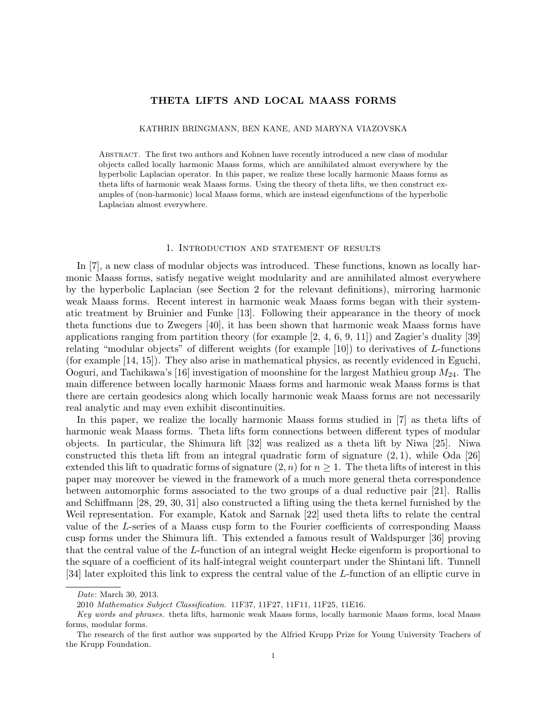# THETA LIFTS AND LOCAL MAASS FORMS

# KATHRIN BRINGMANN, BEN KANE, AND MARYNA VIAZOVSKA

Abstract. The first two authors and Kohnen have recently introduced a new class of modular objects called locally harmonic Maass forms, which are annihilated almost everywhere by the hyperbolic Laplacian operator. In this paper, we realize these locally harmonic Maass forms as theta lifts of harmonic weak Maass forms. Using the theory of theta lifts, we then construct examples of (non-harmonic) local Maass forms, which are instead eigenfunctions of the hyperbolic Laplacian almost everywhere.

#### 1. Introduction and statement of results

In [7], a new class of modular objects was introduced. These functions, known as locally harmonic Maass forms, satisfy negative weight modularity and are annihilated almost everywhere by the hyperbolic Laplacian (see Section 2 for the relevant definitions), mirroring harmonic weak Maass forms. Recent interest in harmonic weak Maass forms began with their systematic treatment by Bruinier and Funke [13]. Following their appearance in the theory of mock theta functions due to Zwegers [40], it has been shown that harmonic weak Maass forms have applications ranging from partition theory (for example [2, 4, 6, 9, 11]) and Zagier's duality [39] relating "modular objects" of different weights (for example [10]) to derivatives of L-functions (for example [14, 15]). They also arise in mathematical physics, as recently evidenced in Eguchi, Ooguri, and Tachikawa's [16] investigation of moonshine for the largest Mathieu group  $M_{24}$ . The main difference between locally harmonic Maass forms and harmonic weak Maass forms is that there are certain geodesics along which locally harmonic weak Maass forms are not necessarily real analytic and may even exhibit discontinuities.

In this paper, we realize the locally harmonic Maass forms studied in [7] as theta lifts of harmonic weak Maass forms. Theta lifts form connections between different types of modular objects. In particular, the Shimura lift [32] was realized as a theta lift by Niwa [25]. Niwa constructed this theta lift from an integral quadratic form of signature  $(2, 1)$ , while Oda [26] extended this lift to quadratic forms of signature  $(2, n)$  for  $n \geq 1$ . The theta lifts of interest in this paper may moreover be viewed in the framework of a much more general theta correspondence between automorphic forms associated to the two groups of a dual reductive pair [21]. Rallis and Schiffmann [28, 29, 30, 31] also constructed a lifting using the theta kernel furnished by the Weil representation. For example, Katok and Sarnak [22] used theta lifts to relate the central value of the L-series of a Maass cusp form to the Fourier coefficients of corresponding Maass cusp forms under the Shimura lift. This extended a famous result of Waldspurger [36] proving that the central value of the L-function of an integral weight Hecke eigenform is proportional to the square of a coefficient of its half-integral weight counterpart under the Shintani lift. Tunnell [34] later exploited this link to express the central value of the L-function of an elliptic curve in

Date: March 30, 2013.

<sup>2010</sup> Mathematics Subject Classification. 11F37, 11F27, 11F11, 11F25, 11E16.

Key words and phrases. theta lifts, harmonic weak Maass forms, locally harmonic Maass forms, local Maass forms, modular forms.

The research of the first author was supported by the Alfried Krupp Prize for Young University Teachers of the Krupp Foundation.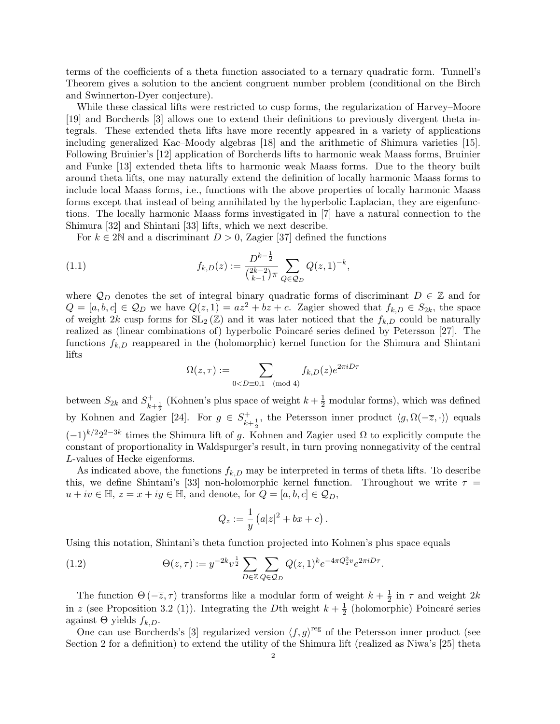terms of the coefficients of a theta function associated to a ternary quadratic form. Tunnell's Theorem gives a solution to the ancient congruent number problem (conditional on the Birch and Swinnerton-Dyer conjecture).

While these classical lifts were restricted to cusp forms, the regularization of Harvey–Moore [19] and Borcherds [3] allows one to extend their definitions to previously divergent theta integrals. These extended theta lifts have more recently appeared in a variety of applications including generalized Kac–Moody algebras [18] and the arithmetic of Shimura varieties [15]. Following Bruinier's [12] application of Borcherds lifts to harmonic weak Maass forms, Bruinier and Funke [13] extended theta lifts to harmonic weak Maass forms. Due to the theory built around theta lifts, one may naturally extend the definition of locally harmonic Maass forms to include local Maass forms, i.e., functions with the above properties of locally harmonic Maass forms except that instead of being annihilated by the hyperbolic Laplacian, they are eigenfunctions. The locally harmonic Maass forms investigated in [7] have a natural connection to the Shimura [32] and Shintani [33] lifts, which we next describe.

For  $k \in 2\mathbb{N}$  and a discriminant  $D > 0$ , Zagier [37] defined the functions

(1.1) 
$$
f_{k,D}(z) := \frac{D^{k-\frac{1}{2}}}{\binom{2k-2}{k-1}\pi} \sum_{Q \in \mathcal{Q}_D} Q(z,1)^{-k},
$$

where  $\mathcal{Q}_D$  denotes the set of integral binary quadratic forms of discriminant  $D \in \mathbb{Z}$  and for  $Q = [a, b, c] \in \mathcal{Q}_D$  we have  $Q(z, 1) = az^2 + bz + c$ . Zagier showed that  $f_{k,D} \in S_{2k}$ , the space of weight 2k cusp forms for  $SL_2(\mathbb{Z})$  and it was later noticed that the  $f_{k,D}$  could be naturally realized as (linear combinations of) hyperbolic Poincaré series defined by Petersson [27]. The functions  $f_{k,D}$  reappeared in the (holomorphic) kernel function for the Shimura and Shintani lifts

$$
\Omega(z,\tau) := \sum_{0
$$

between  $S_{2k}$  and  $S_{k+\frac{1}{2}}^+$  (Kohnen's plus space of weight  $k+\frac{1}{2}$  modular forms), which was defined by Kohnen and Zagier [24]. For  $g \in S^+_{k+\frac{1}{2}}$ , the Petersson inner product  $\langle g, \Omega(-\overline{z}, \cdot) \rangle$  equals  $(1)^{k/2}2^{2-3k}$  times the Shimura lift of g. Kohnen and Zagier used  $\Omega$  to explicitly compute the constant of proportionality in Waldspurger's result, in turn proving nonnegativity of the central L-values of Hecke eigenforms.

As indicated above, the functions  $f_{k,D}$  may be interpreted in terms of theta lifts. To describe this, we define Shintani's [33] non-holomorphic kernel function. Throughout we write  $\tau =$  $u + iv \in \mathbb{H}, z = x + iy \in \mathbb{H}, \text{ and denote, for } Q = [a, b, c] \in \mathcal{Q}_D,$ 

$$
Q_z := \frac{1}{y} \left( a|z|^2 + bx + c \right).
$$

Using this notation, Shintani's theta function projected into Kohnen's plus space equals

(1.2) 
$$
\Theta(z,\tau) := y^{-2k} v^{\frac{1}{2}} \sum_{D \in \mathbb{Z}} \sum_{Q \in \mathcal{Q}_D} Q(z,1)^k e^{-4\pi Q_z^2 v} e^{2\pi i D\tau}.
$$

The function  $\Theta(-\overline{z}, \tau)$  transforms like a modular form of weight  $k + \frac{1}{2}$  $\frac{1}{2}$  in  $\tau$  and weight 2k in z (see Proposition 3.2 (1)). Integrating the Dth weight  $k+\frac{1}{2}$  $\frac{1}{2}$  (holomorphic) Poincaré series against  $\Theta$  yields  $f_{k,D}$ .

One can use Borcherds's [3] regularized version  $\langle f, g \rangle^{\text{reg}}$  of the Petersson inner product (see Section 2 for a definition) to extend the utility of the Shimura lift (realized as Niwa's [25] theta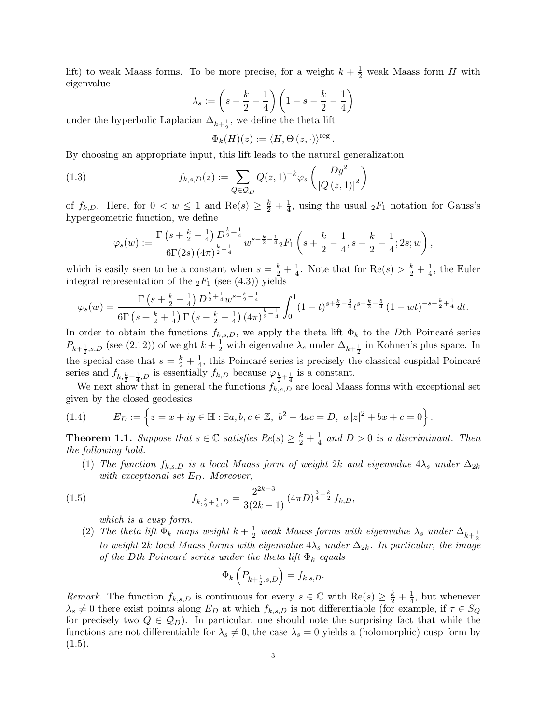lift) to weak Maass forms. To be more precise, for a weight  $k + \frac{1}{2}$  weak Maass form H with eigenvalue

$$
\lambda_s := \left(s - \frac{k}{2} - \frac{1}{4}\right) \left(1 - s - \frac{k}{2} - \frac{1}{4}\right)
$$

under the hyperbolic Laplacian  $\Delta_{k+\frac{1}{2}}$ , we define the theta lift

$$
\Phi_k(H)(z) := \langle H, \Theta(z, \cdot) \rangle^{\text{reg}}.
$$

By choosing an appropriate input, this lift leads to the natural generalization

(1.3) 
$$
f_{k,s,D}(z) := \sum_{Q \in \mathcal{Q}_D} Q(z,1)^{-k} \varphi_s \left( \frac{Dy^2}{|Q(z,1)|^2} \right)
$$

of  $f_{k,D}$ . Here, for  $0 < w \leq 1$  and  $\text{Re}(s) \geq \frac{k}{2} + \frac{1}{4}$  $\frac{1}{4}$ , using the usual  ${}_2F_1$  notation for Gauss's hypergeometric function, we define

$$
\varphi_s(w) := \frac{\Gamma\left(s + \frac{k}{2} - \frac{1}{4}\right)D^{\frac{k}{2} + \frac{1}{4}}}{6\Gamma(2s)\left(4\pi\right)^{\frac{k}{2} - \frac{1}{4}}}w^{s - \frac{k}{2} - \frac{1}{4}}{}_2F_1\left(s + \frac{k}{2} - \frac{1}{4}, s - \frac{k}{2} - \frac{1}{4}; 2s; w\right),
$$

which is easily seen to be a constant when  $s = \frac{k}{2} + \frac{1}{4}$  $\frac{1}{4}$ . Note that for  $\text{Re}(s) > \frac{k}{2} + \frac{1}{4}$  $\frac{1}{4}$ , the Euler integral representation of the  $_2F_1$  (see (4.3)) yields

$$
\varphi_s(w) = \frac{\Gamma\left(s + \frac{k}{2} - \frac{1}{4}\right)D^{\frac{k}{2} + \frac{1}{4}}w^{s - \frac{k}{2} - \frac{1}{4}}}{6\Gamma\left(s + \frac{k}{2} + \frac{1}{4}\right)\Gamma\left(s - \frac{k}{2} - \frac{1}{4}\right)(4\pi)^{\frac{k}{2} - \frac{1}{4}}}\int_0^1 (1-t)^{s + \frac{k}{2} - \frac{3}{4}}t^{s - \frac{k}{2} - \frac{5}{4}}(1-wt)^{-s - \frac{k}{2} + \frac{1}{4}}dt.
$$

In order to obtain the functions  $f_{k,s,D}$ , we apply the theta lift  $\Phi_k$  to the Dth Poincaré series  $P_{k+\frac{1}{2},s,D}$  (see (2.12)) of weight  $k+\frac{1}{2}$  with eigenvalue  $\lambda_s$  under  $\Delta_{k+\frac{1}{2}}$  in Kohnen's plus space. In the special case that  $s = \frac{k}{2} + \frac{1}{4}$  $\frac{1}{4}$ , this Poincaré series is precisely the classical cuspidal Poincaré series and  $f_{k, \frac{k}{2} + \frac{1}{4}, D}$  is essentially  $f_{k,D}$  because  $\varphi_{\frac{k}{2} + \frac{1}{4}}$  is a constant.

We next show that in general the functions  $f_{k,s,D}$  are local Maass forms with exceptional set given by the closed geodesics

(1.4) 
$$
E_D := \left\{ z = x + iy \in \mathbb{H} : \exists a, b, c \in \mathbb{Z}, \ b^2 - 4ac = D, \ a |z|^2 + bx + c = 0 \right\}.
$$

**Theorem 1.1.** Suppose that  $s \in \mathbb{C}$  satisfies  $Re(s) \geq \frac{k}{2} + \frac{1}{4}$  $\frac{1}{4}$  and  $D > 0$  is a discriminant. Then the following hold.

(1) The function  $f_{k,s,D}$  is a local Maass form of weight 2k and eigenvalue  $4\lambda_s$  under  $\Delta_{2k}$ with exceptional set  $E_D$ . Moreover,

(1.5) 
$$
f_{k,\frac{k}{2}+\frac{1}{4},D} = \frac{2^{2k-3}}{3(2k-1)} \left(4\pi D\right)^{\frac{3}{4}-\frac{k}{2}} f_{k,D},
$$

which is a cusp form.

(2) The theta lift  $\Phi_k$  maps weight  $k+\frac{1}{2}$  $\frac{1}{2}$  weak Maass forms with eigenvalue  $\lambda_s$  under  $\Delta_{k+\frac{1}{2}}$ to weight 2k local Maass forms with eigenvalue  $4\lambda_s$  under  $\Delta_{2k}$ . In particular, the image of the Dth Poincaré series under the theta lift  $\Phi_k$  equals

$$
\Phi_k\left(P_{k+\frac{1}{2},s,D}\right) = f_{k,s,D}.
$$

Remark. The function  $f_{k,s,D}$  is continuous for every  $s \in \mathbb{C}$  with  $\text{Re}(s) \geq \frac{k}{2} + \frac{1}{4}$  $\frac{1}{4}$ , but whenever  $\lambda_s \neq 0$  there exist points along  $E_D$  at which  $f_{k,s,D}$  is not differentiable (for example, if  $\tau \in S_Q$ for precisely two  $Q \in \mathcal{Q}_D$ . In particular, one should note the surprising fact that while the functions are not differentiable for  $\lambda_s \neq 0$ , the case  $\lambda_s = 0$  yields a (holomorphic) cusp form by  $(1.5).$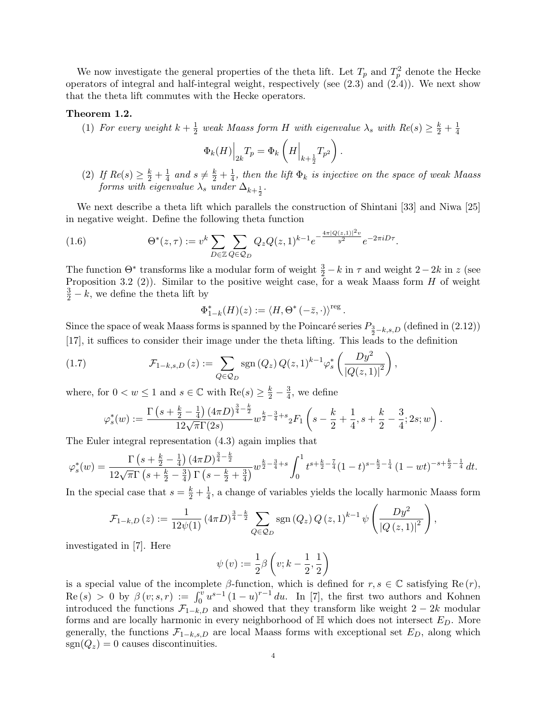We now investigate the general properties of the theta lift. Let  $T_p$  and  $T_p^2$  denote the Hecke operators of integral and half-integral weight, respectively (see  $(2.3)$  and  $(2.4)$ ). We next show that the theta lift commutes with the Hecke operators.

#### Theorem 1.2.

(1) For every weight  $k+\frac{1}{2}$  $\frac{1}{2}$  weak Maass form H with eigenvalue  $\lambda_s$  with  $Re(s) \geq \frac{k}{2} + \frac{1}{4}$ 4

$$
\Phi_k(H)\Big|_{2k}T_p = \Phi_k\left(H\Big|_{k+\frac{1}{2}}T_{p^2}\right).
$$

(2) If  $Re(s) \geq \frac{k}{2} + \frac{1}{4}$  $rac{1}{4}$  and  $s \neq \frac{k}{2} + \frac{1}{4}$  $\frac{1}{4}$ , then the lift  $\Phi_k$  is injective on the space of weak Maass forms with eigenvalue  $\lambda_s$  under  $\Delta_{k+\frac{1}{2}}$ .

.

We next describe a theta lift which parallels the construction of Shintani [33] and Niwa [25] in negative weight. Define the following theta function

(1.6) 
$$
\Theta^*(z,\tau) := v^k \sum_{D \in \mathbb{Z}} \sum_{Q \in \mathcal{Q}_D} Q_z Q(z,1)^{k-1} e^{-\frac{4\pi |Q(z,1)|^2 v}{y^2}} e^{-2\pi i D\tau}
$$

The function  $\Theta^*$  transforms like a modular form of weight  $\frac{3}{2} - k$  in  $\tau$  and weight  $2 - 2k$  in z (see Proposition 3.2 (2)). Similar to the positive weight case, for a weak Maass form  $H$  of weight  $\frac{3}{2} - k$ , we define the theta lift by

$$
\Phi^*_{1-k}(H)(z):=\left\langle H,\Theta^*\left(-\bar{z},\cdot\right)\right\rangle^{\text{reg}}.
$$

Since the space of weak Maass forms is spanned by the Poincaré series  $P_{\frac{3}{2} - k,s,D}$  (defined in (2.12)) [17], it suffices to consider their image under the theta lifting. This leads to the definition

(1.7) 
$$
\mathcal{F}_{1-k,s,D}(z) := \sum_{Q \in \mathcal{Q}_D} \text{sgn}(Q_z) Q(z,1)^{k-1} \varphi_s^* \left( \frac{D y^2}{|Q(z,1)|^2} \right),
$$

where, for  $0 < w \le 1$  and  $s \in \mathbb{C}$  with  $\text{Re}(s) \ge \frac{k}{2} - \frac{3}{4}$  $\frac{3}{4}$ , we define

$$
\varphi_s^*(w) := \frac{\Gamma\left(s + \frac{k}{2} - \frac{1}{4}\right)(4\pi D)^{\frac{3}{4} - \frac{k}{2}}}{12\sqrt{\pi}\Gamma(2s)} w^{\frac{k}{2} - \frac{3}{4} + s} {}_2F_1\left(s - \frac{k}{2} + \frac{1}{4}, s + \frac{k}{2} - \frac{3}{4}; 2s; w\right).
$$

The Euler integral representation (4.3) again implies that

$$
\varphi_s^*(w) = \frac{\Gamma\left(s + \frac{k}{2} - \frac{1}{4}\right)(4\pi D)^{\frac{3}{4} - \frac{k}{2}}}{12\sqrt{\pi}\Gamma\left(s + \frac{k}{2} - \frac{3}{4}\right)\Gamma\left(s - \frac{k}{2} + \frac{3}{4}\right)}w^{\frac{k}{2} - \frac{3}{4} + s}\int_0^1 t^{s + \frac{k}{2} - \frac{7}{4}}(1 - t)^{s - \frac{k}{2} - \frac{1}{4}}(1 - wt)^{-s + \frac{k}{2} - \frac{1}{4}}dt.
$$

In the special case that  $s = \frac{k}{2} + \frac{1}{4}$  $\frac{1}{4}$ , a change of variables yields the locally harmonic Maass form

$$
\mathcal{F}_{1-k,D}(z) := \frac{1}{12\psi(1)} \left(4\pi D\right)^{\frac{3}{4}-\frac{k}{2}} \sum_{Q \in \mathcal{Q}_D} \text{sgn}\left(Q_z\right) Q\left(z,1\right)^{k-1} \psi\left(\frac{Dy^2}{\left|Q\left(z,1\right)\right|^2}\right),
$$

investigated in [7]. Here

$$
\psi(v) := \frac{1}{2}\beta\left(v;k-\frac{1}{2},\frac{1}{2}\right)
$$

is a special value of the incomplete  $\beta$ -function, which is defined for  $r, s \in \mathbb{C}$  satisfying Re $(r)$ ,  $\text{Re}(s) > 0$  by  $\beta(v; s, r) := \int_0^{\overline{v}} u^{s-1} (1-u)^{r-1} du$ . In [7], the first two authors and Kohnen introduced the functions  $\mathcal{F}_{1-k,D}$  and showed that they transform like weight 2 − 2k modular forms and are locally harmonic in every neighborhood of  $\mathbb{H}$  which does not intersect  $E_D$ . More generally, the functions  $\mathcal{F}_{1-k,s,D}$  are local Maass forms with exceptional set  $E_D$ , along which  $sgn(Q_z) = 0$  causes discontinuities.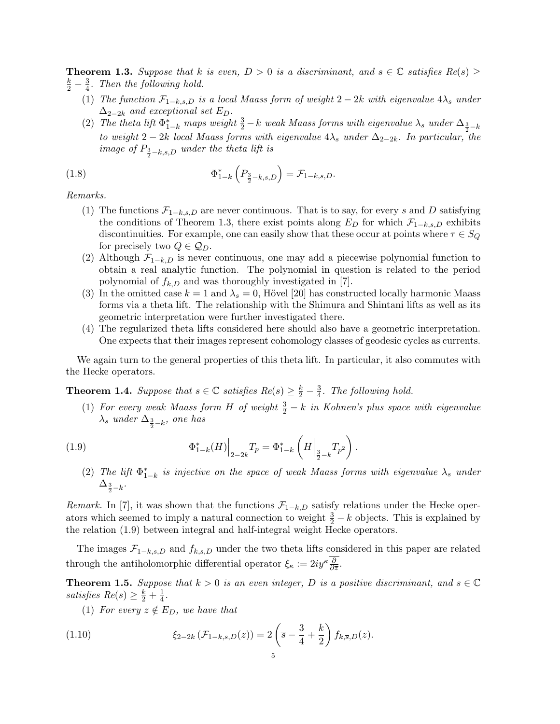**Theorem 1.3.** Suppose that k is even,  $D > 0$  is a discriminant, and  $s \in \mathbb{C}$  satisfies  $Re(s) \geq$  $\frac{k}{2} - \frac{3}{4}$  $\frac{3}{4}$ . Then the following hold.

- (1) The function  $\mathcal{F}_{1-k,s,D}$  is a local Maass form of weight  $2-2k$  with eigenvalue  $4\lambda_s$  under  $\Delta_{2-2k}$  and exceptional set  $E_D$ .
- (2) The theta lift  $\Phi_{1-k}^*$  maps weight  $\frac{3}{2} k$  weak Maass forms with eigenvalue  $\lambda_s$  under  $\Delta_{\frac{3}{2} k}$ to weight 2 − 2k local Maass forms with eigenvalue  $4\lambda_s$  under  $\Delta_{2-2k}$ . In particular, the image of  $P_{\frac{3}{2}-k,s,D}$  under the theta lift is

(1.8) 
$$
\Phi_{1-k}^* \left( P_{\frac{3}{2} - k, s, D} \right) = \mathcal{F}_{1-k, s, D}.
$$

Remarks.

- (1) The functions  $\mathcal{F}_{1-k,s,D}$  are never continuous. That is to say, for every s and D satisfying the conditions of Theorem 1.3, there exist points along  $E_D$  for which  $\mathcal{F}_{1-k,s,D}$  exhibits discontinuities. For example, one can easily show that these occur at points where  $\tau \in S_Q$ for precisely two  $Q \in \mathcal{Q}_D$ .
- (2) Although  $\mathcal{F}_{1-k,D}$  is never continuous, one may add a piecewise polynomial function to obtain a real analytic function. The polynomial in question is related to the period polynomial of  $f_{k,D}$  and was thoroughly investigated in [7].
- (3) In the omitted case  $k = 1$  and  $\lambda_s = 0$ , Hövel [20] has constructed locally harmonic Maass forms via a theta lift. The relationship with the Shimura and Shintani lifts as well as its geometric interpretation were further investigated there.
- (4) The regularized theta lifts considered here should also have a geometric interpretation. One expects that their images represent cohomology classes of geodesic cycles as currents.

We again turn to the general properties of this theta lift. In particular, it also commutes with the Hecke operators.

**Theorem 1.4.** Suppose that  $s \in \mathbb{C}$  satisfies  $Re(s) \geq \frac{k}{2} - \frac{3}{4}$  $\frac{3}{4}$ . The following hold.

(1) For every weak Maass form H of weight  $\frac{3}{2} - k$  in Kohnen's plus space with eigenvalue  $\lambda_s$  under  $\Delta_{\frac{3}{2}-k}$ , one has

(1.9) 
$$
\Phi_{1-k}^*(H)\Big|_{2-2k}T_p = \Phi_{1-k}^*\left(H\Big|_{\frac{3}{2}-k}T_{p^2}\right).
$$

(2) The lift  $\Phi_{1-k}^*$  is injective on the space of weak Maass forms with eigenvalue  $\lambda_s$  under  $\Delta_{\frac{3}{2}-k}.$ 

Remark. In [7], it was shown that the functions  $\mathcal{F}_{1-k,D}$  satisfy relations under the Hecke operators which seemed to imply a natural connection to weight  $\frac{3}{2} - k$  objects. This is explained by the relation (1.9) between integral and half-integral weight Hecke operators.

The images  $\mathcal{F}_{1-k,s,D}$  and  $f_{k,s,D}$  under the two theta lifts considered in this paper are related through the antiholomorphic differential operator  $\xi_{\kappa} := 2iy^{\kappa} \frac{\partial}{\partial \bar{z}}$ .

**Theorem 1.5.** Suppose that  $k > 0$  is an even integer, D is a positive discriminant, and  $s \in \mathbb{C}$ satisfies  $Re(s) \geq \frac{k}{2} + \frac{1}{4}$  $\frac{1}{4}$ .

(1) For every  $z \notin E_D$ , we have that

(1.10) 
$$
\xi_{2-2k}(\mathcal{F}_{1-k,s,D}(z)) = 2\left(\overline{s} - \frac{3}{4} + \frac{k}{2}\right) f_{k,\overline{s},D}(z).
$$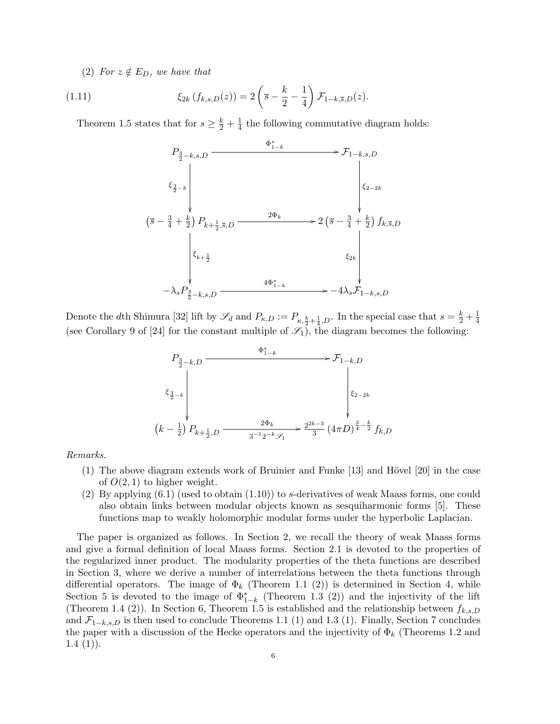(2) For  $z \notin E_D$ , we have that

(1.11) 
$$
\xi_{2k}(f_{k,s,D}(z)) = 2\left(\overline{s} - \frac{k}{2} - \frac{1}{4}\right) \mathcal{F}_{1-k,\overline{s},D}(z).
$$

Theorem 1.5 states that for  $s \geq \frac{k}{2} + \frac{1}{4}$  $\frac{1}{4}$  the following commutative diagram holds:



Denote the dth Shimura [32] lift by  $\mathscr{S}_d$  and  $P_{\kappa,D} := P_{\kappa,\frac{k}{2} + \frac{1}{4},D}$ . In the special case that  $s = \frac{k}{2} + \frac{1}{4}$ 4 (see Corollary 9 of [24] for the constant multiple of  $\mathscr{S}_1$ ), the diagram becomes the following:



Remarks.

- $(1)$  The above diagram extends work of Bruinier and Funke  $[13]$  and Hövel  $[20]$  in the case of  $O(2, 1)$  to higher weight.
- (2) By applying  $(6.1)$  (used to obtain  $(1.10)$ ) to s-derivatives of weak Maass forms, one could also obtain links between modular objects known as sesquiharmonic forms [5]. These functions map to weakly holomorphic modular forms under the hyperbolic Laplacian.

The paper is organized as follows. In Section 2, we recall the theory of weak Maass forms and give a formal definition of local Maass forms. Section 2.1 is devoted to the properties of the regularized inner product. The modularity properties of the theta functions are described in Section 3, where we derive a number of interrelations between the theta functions through differential operators. The image of  $\Phi_k$  (Theorem 1.1 (2)) is determined in Section 4, while Section 5 is devoted to the image of  $\Phi_{1-k}^*$  (Theorem 1.3 (2)) and the injectivity of the lift (Theorem 1.4 (2)). In Section 6, Theorem 1.5 is established and the relationship between  $f_{k,s,D}$ and  $\mathcal{F}_{1-k,s,D}$  is then used to conclude Theorems 1.1 (1) and 1.3 (1). Finally, Section 7 concludes the paper with a discussion of the Hecke operators and the injectivity of  $\Phi_k$  (Theorems 1.2 and  $1.4(1)$ .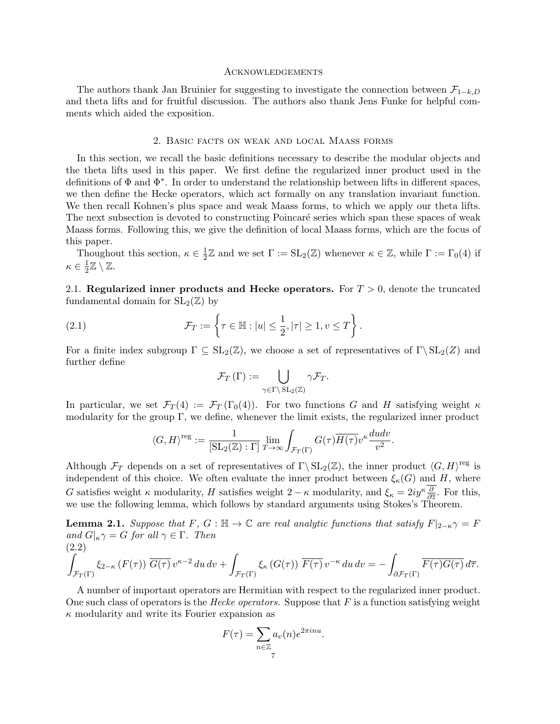#### Acknowledgements

The authors thank Jan Bruinier for suggesting to investigate the connection between  $\mathcal{F}_{1-k,D}$ and theta lifts and for fruitful discussion. The authors also thank Jens Funke for helpful comments which aided the exposition.

## 2. Basic facts on weak and local Maass forms

In this section, we recall the basic definitions necessary to describe the modular objects and the theta lifts used in this paper. We first define the regularized inner product used in the definitions of Φ and Φ<sup>∗</sup> . In order to understand the relationship between lifts in different spaces, we then define the Hecke operators, which act formally on any translation invariant function. We then recall Kohnen's plus space and weak Maass forms, to which we apply our theta lifts. The next subsection is devoted to constructing Poincaré series which span these spaces of weak Maass forms. Following this, we give the definition of local Maass forms, which are the focus of this paper.

Thoughout this section,  $\kappa \in \frac{1}{2}$  $\frac{1}{2}\mathbb{Z}$  and we set  $\Gamma := SL_2(\mathbb{Z})$  whenever  $\kappa \in \mathbb{Z}$ , while  $\Gamma := \Gamma_0(4)$  if  $\kappa \in \frac{1}{2}$  $\frac{1}{2}\mathbb{Z}\setminus\mathbb{Z}.$ 

2.1. Regularized inner products and Hecke operators. For  $T > 0$ , denote the truncated fundamental domain for  $SL_2(\mathbb{Z})$  by

(2.1) 
$$
\mathcal{F}_T := \left\{ \tau \in \mathbb{H} : |u| \leq \frac{1}{2}, |\tau| \geq 1, v \leq T \right\}.
$$

For a finite index subgroup  $\Gamma \subseteq SL_2(\mathbb{Z})$ , we choose a set of representatives of  $\Gamma \backslash SL_2(\mathbb{Z})$  and further define

$$
\mathcal{F}_T(\Gamma) := \bigcup_{\gamma \in \Gamma \backslash \operatorname{SL}_2(\mathbb{Z})} \gamma \mathcal{F}_T.
$$

In particular, we set  $\mathcal{F}_T(4) := \mathcal{F}_T(\Gamma_0(4))$ . For two functions G and H satisfying weight  $\kappa$ modularity for the group Γ, we define, whenever the limit exists, the regularized inner product

$$
\langle G, H \rangle^{\text{reg}} := \frac{1}{[\text{SL}_2(\mathbb{Z}) : \Gamma]} \lim_{T \to \infty} \int_{\mathcal{F}_T(\Gamma)} G(\tau) \overline{H(\tau)} v^{\kappa} \frac{du dv}{v^2}.
$$

Although  $\mathcal{F}_T$  depends on a set of representatives of  $\Gamma \backslash \operatorname{SL}_2(\mathbb{Z})$ , the inner product  $\langle G, H \rangle^{\text{reg}}$  is independent of this choice. We often evaluate the inner product between  $\xi_{\kappa}(G)$  and H, where G satisfies weight  $\kappa$  modularity, H satisfies weight  $2 - \kappa$  modularity, and  $\xi_{\kappa} = 2iy^{\kappa} \frac{\partial}{\partial \bar{z}}$ . For this, we use the following lemma, which follows by standard arguments using Stokes's Theorem.

**Lemma 2.1.** Suppose that F, G :  $\mathbb{H} \to \mathbb{C}$  are real analytic functions that satisfy  $F|_{2-\kappa} \gamma = F$ and  $G|_{\kappa} \gamma = G$  for all  $\gamma \in \Gamma$ . Then (2.2)

$$
\int_{\mathcal{F}_T(\Gamma)} \xi_{2-\kappa} \left( F(\tau) \right) \overline{G(\tau)} \, v^{\kappa-2} \, du \, dv + \int_{\mathcal{F}_T(\Gamma)} \xi_{\kappa} \left( G(\tau) \right) \overline{F(\tau)} \, v^{-\kappa} \, du \, dv = - \int_{\partial \mathcal{F}_T(\Gamma)} \overline{F(\tau) G(\tau)} \, d\overline{\tau}.
$$

A number of important operators are Hermitian with respect to the regularized inner product. One such class of operators is the *Hecke operators*. Suppose that  $F$  is a function satisfying weight  $\kappa$  modularity and write its Fourier expansion as

$$
F(\tau) = \sum_{n \in \mathbb{Z}} a_v(n) e^{2\pi i n u}.
$$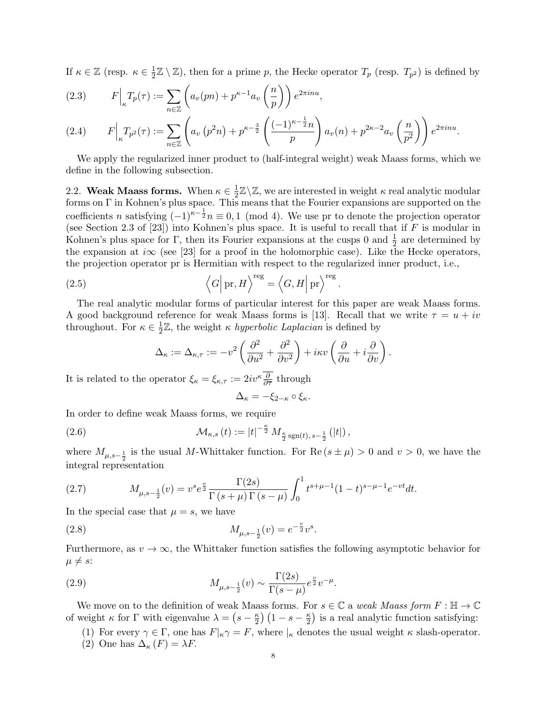If  $\kappa \in \mathbb{Z}$  (resp.  $\kappa \in \frac{1}{2}$ )  $\frac{1}{2}\mathbb{Z}\setminus\mathbb{Z}$ ), then for a prime p, the Hecke operator  $T_p$  (resp.  $T_{p^2}$ ) is defined by

(2.3) 
$$
F\Big|_{\kappa} T_p(\tau) := \sum_{n \in \mathbb{Z}} \left( a_v(pn) + p^{\kappa - 1} a_v\left(\frac{n}{p}\right) \right) e^{2\pi i n u},
$$

$$
(2.4) \tF\Big|_{\kappa} T_{p^2}(\tau) := \sum_{n \in \mathbb{Z}} \left( a_v \left( p^2 n \right) + p^{\kappa - \frac{3}{2}} \left( \frac{(-1)^{\kappa - \frac{1}{2}} n}{p} \right) a_v(n) + p^{2\kappa - 2} a_v \left( \frac{n}{p^2} \right) \right) e^{2\pi i n u}.
$$

We apply the regularized inner product to (half-integral weight) weak Maass forms, which we define in the following subsection.

2.2. Weak Maass forms. When  $\kappa \in \frac{1}{2}$  $\frac{1}{2}\mathbb{Z}\backslash\mathbb{Z}$ , we are interested in weight  $\kappa$  real analytic modular forms on Γ in Kohnen's plus space. This means that the Fourier expansions are supported on the coefficients n satisfying  $(-1)^{\kappa-\frac{1}{2}}n \equiv 0, 1 \pmod{4}$ . We use pr to denote the projection operator (see Section 2.3 of [23]) into Kohnen's plus space. It is useful to recall that if  $F$  is modular in Kohnen's plus space for Γ, then its Fourier expansions at the cusps 0 and  $\frac{1}{2}$  are determined by the expansion at  $i\infty$  (see [23] for a proof in the holomorphic case). Like the Hecke operators, the projection operator pr is Hermitian with respect to the regularized inner product, i.e.,

(2.5) 
$$
\left\langle G \middle| \text{ pr}, H \right\rangle^{\text{reg}} = \left\langle G, H \middle| \text{ pr} \right\rangle^{\text{reg}}
$$

The real analytic modular forms of particular interest for this paper are weak Maass forms. A good background reference for weak Maass forms is [13]. Recall that we write  $\tau = u + iv$ throughout. For  $\kappa \in \frac{1}{2}$  $\frac{1}{2}\mathbb{Z}$ , the weight  $\kappa$  hyperbolic Laplacian is defined by

.

$$
\Delta_{\kappa} := \Delta_{\kappa,\tau} := -v^2 \left( \frac{\partial^2}{\partial u^2} + \frac{\partial^2}{\partial v^2} \right) + i\kappa v \left( \frac{\partial}{\partial u} + i \frac{\partial}{\partial v} \right).
$$

It is related to the operator  $\xi_{\kappa} = \xi_{\kappa,\tau} := 2iv^{\kappa} \frac{\partial}{\partial \overline{\tau}}$  through

$$
\Delta_{\kappa} = -\xi_{2-\kappa} \circ \xi_{\kappa}.
$$

In order to define weak Maass forms, we require

(2.6) 
$$
\mathcal{M}_{\kappa,s}(t) := |t|^{-\frac{\kappa}{2}} M_{\frac{\kappa}{2} \text{sgn}(t), s-\frac{1}{2}}(|t|),
$$

where  $M_{\mu,s-\frac{1}{2}}$  is the usual M-Whittaker function. For  $\text{Re}(s \pm \mu) > 0$  and  $v > 0$ , we have the integral representation

(2.7) 
$$
M_{\mu,s-\frac{1}{2}}(v) = v^s e^{\frac{v}{2}} \frac{\Gamma(2s)}{\Gamma(s+\mu)\Gamma(s-\mu)} \int_0^1 t^{s+\mu-1} (1-t)^{s-\mu-1} e^{-vt} dt.
$$

In the special case that  $\mu = s$ , we have

(2.8) 
$$
M_{\mu,s-\frac{1}{2}}(v) = e^{-\frac{v}{2}}v^{s}.
$$

Furthermore, as  $v \to \infty$ , the Whittaker function satisfies the following asymptotic behavior for  $\mu \neq s$ :

(2.9) 
$$
M_{\mu,s-\frac{1}{2}}(v) \sim \frac{\Gamma(2s)}{\Gamma(s-\mu)} e^{\frac{v}{2}} v^{-\mu}.
$$

We move on to the definition of weak Maass forms. For  $s \in \mathbb{C}$  a weak Maass form  $F : \mathbb{H} \to \mathbb{C}$ of weight  $\kappa$  for  $\Gamma$  with eigenvalue  $\lambda = \left(s - \frac{\kappa}{2}\right)$  $\frac{\kappa}{2}$ )  $\left(1-s-\frac{\kappa}{2}\right)$  $\frac{\kappa}{2}$ ) is a real analytic function satisfying:

- (1) For every  $\gamma \in \Gamma$ , one has  $F|_{\kappa} \gamma = F$ , where  $|_{\kappa}$  denotes the usual weight  $\kappa$  slash-operator.
- (2) One has  $\Delta_{\kappa}(F) = \lambda F$ .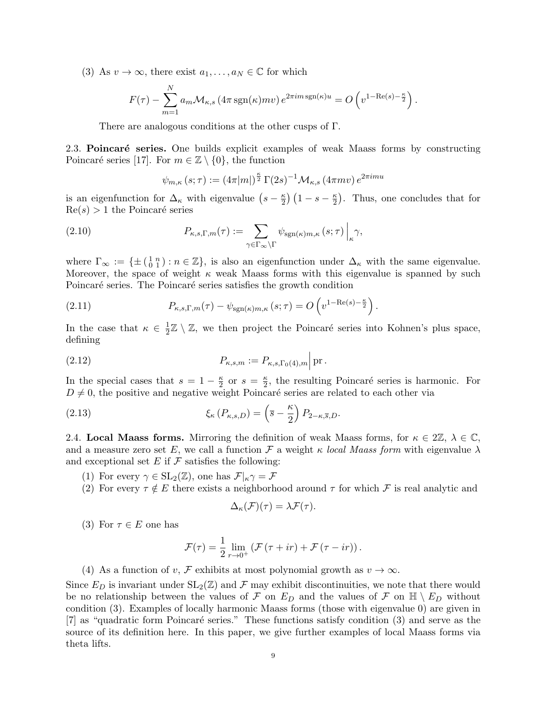(3) As  $v \to \infty$ , there exist  $a_1, \ldots, a_N \in \mathbb{C}$  for which

$$
F(\tau) - \sum_{m=1}^{N} a_m \mathcal{M}_{\kappa,s} \left( 4\pi \operatorname{sgn}(\kappa) m v \right) e^{2\pi i m \operatorname{sgn}(\kappa) u} = O\left( v^{1 - \operatorname{Re}(s) - \frac{\kappa}{2}} \right).
$$

There are analogous conditions at the other cusps of Γ.

2.3. Poincaré series. One builds explicit examples of weak Maass forms by constructing Poincaré series [17]. For  $m \in \mathbb{Z} \setminus \{0\}$ , the function

$$
\psi_{m,\kappa}\left(s;\tau\right):=\left(4\pi|m|\right)^{\frac{\kappa}{2}}\Gamma(2s)^{-1}\mathcal{M}_{\kappa,s}\left(4\pi mv\right)e^{2\pi imu}
$$

is an eigenfunction for  $\Delta_{\kappa}$  with eigenvalue  $(s-\frac{\kappa}{2})$  $\frac{\kappa}{2}$ )  $\left(1-s-\frac{\kappa}{2}\right)$  $\frac{\kappa}{2}$ ). Thus, one concludes that for  $Re(s) > 1$  the Poincaré series

(2.10) 
$$
P_{\kappa,s,\Gamma,m}(\tau) := \sum_{\gamma \in \Gamma_{\infty} \backslash \Gamma} \psi_{\text{sgn}(\kappa)m,\kappa} (s;\tau) \Big|_{\kappa} \gamma,
$$

where  $\Gamma_{\infty} := \{ \pm \left( \begin{smallmatrix} 1 & n \\ 0 & 1 \end{smallmatrix} \right) : n \in \mathbb{Z} \},$  is also an eigenfunction under  $\Delta_{\kappa}$  with the same eigenvalue. Moreover, the space of weight  $\kappa$  weak Maass forms with this eigenvalue is spanned by such Poincaré series. The Poincaré series satisfies the growth condition

(2.11) 
$$
P_{\kappa,s,\Gamma,m}(\tau) - \psi_{\text{sgn}(\kappa)m,\kappa}(s;\tau) = O\left(v^{1-\text{Re}(s)-\frac{\kappa}{2}}\right).
$$

In the case that  $\kappa \in \frac{1}{2}$  $\frac{1}{2}\mathbb{Z} \setminus \mathbb{Z}$ , we then project the Poincaré series into Kohnen's plus space, defining

(2.12) 
$$
P_{\kappa,s,m} := P_{\kappa,s,\Gamma_0(4),m} \Big| \operatorname{pr}.
$$

In the special cases that  $s = 1 - \frac{\kappa}{2}$  $\frac{\kappa}{2}$  or  $s = \frac{\kappa}{2}$  $\frac{\kappa}{2}$ , the resulting Poincaré series is harmonic. For  $D \neq 0$ , the positive and negative weight Poincaré series are related to each other via

(2.13) 
$$
\xi_{\kappa} (P_{\kappa,s,D}) = \left(\overline{s} - \frac{\kappa}{2}\right) P_{2-\kappa,\overline{s},D}.
$$

2.4. Local Maass forms. Mirroring the definition of weak Maass forms, for  $\kappa \in 2\mathbb{Z}$ ,  $\lambda \in \mathbb{C}$ , and a measure zero set E, we call a function F a weight  $\kappa$  local Maass form with eigenvalue  $\lambda$ and exceptional set  $E$  if  $\mathcal F$  satisfies the following:

- (1) For every  $\gamma \in SL_2(\mathbb{Z})$ , one has  $\mathcal{F}|_{\kappa} \gamma = \mathcal{F}$
- (2) For every  $\tau \notin E$  there exists a neighborhood around  $\tau$  for which F is real analytic and

$$
\Delta_{\kappa}(\mathcal{F})(\tau) = \lambda \mathcal{F}(\tau).
$$

(3) For  $\tau \in E$  one has

$$
\mathcal{F}(\tau) = \frac{1}{2} \lim_{r \to 0^+} \left( \mathcal{F}(\tau + ir) + \mathcal{F}(\tau - ir) \right).
$$

(4) As a function of v, F exhibits at most polynomial growth as  $v \to \infty$ .

Since  $E_D$  is invariant under  $SL_2(\mathbb{Z})$  and  $\mathcal F$  may exhibit discontinuities, we note that there would be no relationship between the values of F on  $E_D$  and the values of F on  $\mathbb{H} \setminus E_D$  without condition (3). Examples of locally harmonic Maass forms (those with eigenvalue 0) are given in [7] as "quadratic form Poincaré series." These functions satisfy condition (3) and serve as the source of its definition here. In this paper, we give further examples of local Maass forms via theta lifts.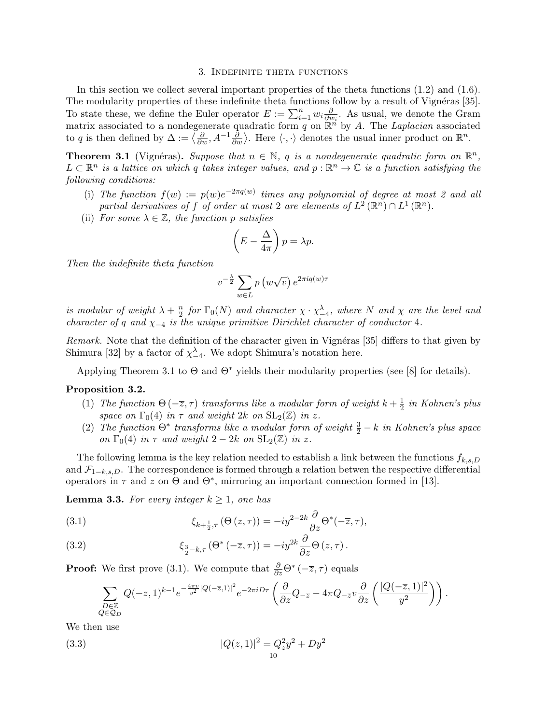#### 3. Indefinite theta functions

In this section we collect several important properties of the theta functions  $(1.2)$  and  $(1.6)$ . The modularity properties of these indefinite theta functions follow by a result of Vignéras [35]. To state these, we define the Euler operator  $E := \sum_{i=1}^n w_i \frac{\partial}{\partial u_i}$  $\frac{\partial}{\partial w_i}$ . As usual, we denote the Gram matrix associated to a nondegenerate quadratic form q on  $\mathbb{R}^n$  by A. The Laplacian associated to q is then defined by  $\Delta := \langle \frac{\partial}{\partial w}, A^{-1} \frac{\partial}{\partial w} \rangle$ . Here  $\langle \cdot, \cdot \rangle$  denotes the usual inner product on  $\mathbb{R}^n$ .

**Theorem 3.1** (Vignéras). Suppose that  $n \in \mathbb{N}$ , q is a nondegenerate quadratic form on  $\mathbb{R}^n$ ,  $L \subset \mathbb{R}^n$  is a lattice on which q takes integer values, and  $p : \mathbb{R}^n \to \mathbb{C}$  is a function satisfying the following conditions:

- (i) The function  $f(w) := p(w)e^{-2\pi q(w)}$  times any polynomial of degree at most 2 and all partial derivatives of f of order at most 2 are elements of  $L^2(\mathbb{R}^n) \cap L^1(\mathbb{R}^n)$ .
- (ii) For some  $\lambda \in \mathbb{Z}$ , the function p satisfies

$$
\left(E - \frac{\Delta}{4\pi}\right)p = \lambda p.
$$

Then the indefinite theta function

$$
v^{-\frac{\lambda}{2}} \sum_{w \in L} p(w\sqrt{v}) e^{2\pi i q(w)\tau}
$$

is modular of weight  $\lambda + \frac{n}{2}$  $\frac{n}{2}$  for  $\Gamma_0(N)$  and character  $\chi \cdot \chi_{-4}^{\lambda}$ , where N and  $\chi$  are the level and character of q and  $\chi_{-4}$  is the unique primitive Dirichlet character of conductor 4.

Remark. Note that the definition of the character given in Vignéras [35] differs to that given by Shimura [32] by a factor of  $\chi^{\lambda}_{-4}$ . We adopt Shimura's notation here.

Applying Theorem 3.1 to  $\Theta$  and  $\Theta^*$  yields their modularity properties (see [8] for details).

#### Proposition 3.2.

- (1) The function  $\Theta(-\overline{z},\tau)$  transforms like a modular form of weight  $k+\frac{1}{2}$  $rac{1}{2}$  in Kohnen's plus space on  $\Gamma_0(4)$  in  $\tau$  and weight 2k on  $SL_2(\mathbb{Z})$  in z.
- (2) The function  $\Theta^*$  transforms like a modular form of weight  $\frac{3}{2} k$  in Kohnen's plus space on  $\Gamma_0(4)$  in  $\tau$  and weight  $2-2k$  on  $SL_2(\mathbb{Z})$  in z.

The following lemma is the key relation needed to establish a link between the functions  $f_{k,s,D}$ and  $\mathcal{F}_{1-k,s,D}$ . The correspondence is formed through a relation betwen the respective differential operators in  $\tau$  and z on  $\Theta$  and  $\Theta^*$ , mirroring an important connection formed in [13].

**Lemma 3.3.** For every integer  $k \geq 1$ , one has

(3.1) 
$$
\xi_{k+\frac{1}{2},\tau}(\Theta(z,\tau)) = -iy^{2-2k}\frac{\partial}{\partial z}\Theta^*(-\overline{z},\tau),
$$

(3.2) 
$$
\xi_{\frac{3}{2}-k,\tau}(\Theta^*(-\overline{z},\tau)) = -iy^{2k}\frac{\partial}{\partial z}\Theta(z,\tau).
$$

**Proof:** We first prove (3.1). We compute that  $\frac{\partial}{\partial z}\Theta^*(-\overline{z},\tau)$  equals

$$
\sum_{\substack{D\in\mathbb{Z}\\ Q\in\mathcal{Q}_D}} Q(-\overline{z},1)^{k-1}e^{-\frac{4\pi v}{y^2}|Q(-\overline{z},1)|^2}e^{-2\pi i D\tau}\left(\frac{\partial}{\partial z}Q_{-\overline{z}}-4\pi Q_{-\overline{z}}v\frac{\partial}{\partial z}\left(\frac{|Q(-\overline{z},1)|^2}{y^2}\right)\right).
$$

We then use

(3.3) 
$$
|Q(z,1)|^2 = Q_z^2 y^2 + D y^2
$$

$$
10
$$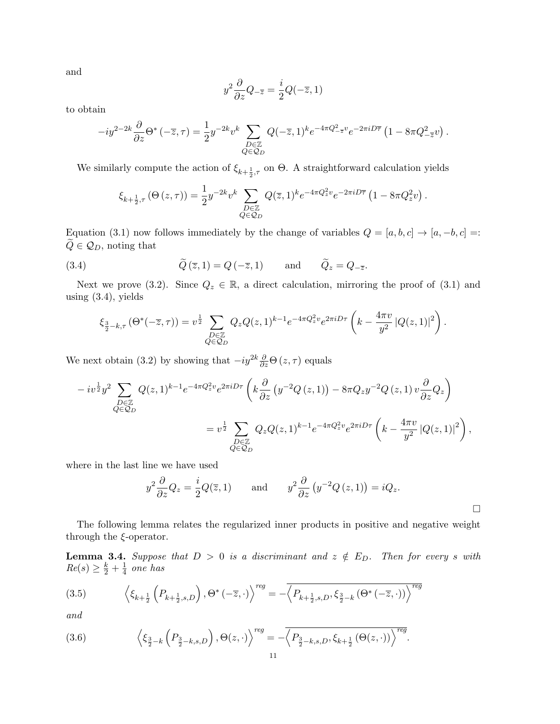and

$$
y^2 \frac{\partial}{\partial z} Q_{-\overline{z}} = \frac{i}{2} Q(-\overline{z}, 1)
$$

to obtain

$$
-iy^{2-2k}\frac{\partial}{\partial z}\Theta^*(-\overline{z},\tau) = \frac{1}{2}y^{-2k}v^k \sum_{\substack{D\in\mathbb{Z}\\Q\in\mathcal{Q}_D}}Q(-\overline{z},1)^ke^{-4\pi Q_{-\overline{z}}^2v}e^{-2\pi iD\overline{\tau}}\left(1 - 8\pi Q_{-\overline{z}}^2v\right).
$$

We similarly compute the action of  $\xi_{k+\frac{1}{2},\tau}$  on  $\Theta$ . A straightforward calculation yields

$$
\xi_{k+\frac{1}{2},\tau}(\Theta(z,\tau)) = \frac{1}{2} y^{-2k} v^k \sum_{\substack{D \in \mathbb{Z} \\ Q \in \mathcal{Q}_D}} Q(\overline{z}, 1)^k e^{-4\pi Q_z^2 v} e^{-2\pi i D \overline{\tau}} \left( 1 - 8\pi Q_z^2 v \right).
$$

Equation (3.1) now follows immediately by the change of variables  $Q = [a, b, c] \rightarrow [a, -b, c] =$ :  $\widetilde{Q} \in \mathcal{Q}_D$ , noting that

(3.4) 
$$
\widetilde{Q}(\overline{z}, 1) = Q(-\overline{z}, 1) \quad \text{and} \quad \widetilde{Q}_z = Q_{-\overline{z}}.
$$

Next we prove (3.2). Since  $Q_z \in \mathbb{R}$ , a direct calculation, mirroring the proof of (3.1) and using (3.4), yields

$$
\xi_{\frac{3}{2}-k,\tau}(\Theta^*(-\overline{z},\tau)) = v^{\frac{1}{2}} \sum_{\substack{D \in \mathbb{Z} \\ Q \in \mathcal{Q}_D}} Q_z Q(z,1)^{k-1} e^{-4\pi Q_z^2 v} e^{2\pi i D\tau} \left( k - \frac{4\pi v}{y^2} |Q(z,1)|^2 \right).
$$

We next obtain (3.2) by showing that  $-i y^{2k} \frac{\partial}{\partial z} \Theta(z, \tau)$  equals

$$
-iv^{\frac{1}{2}}y^{2}\sum_{\substack{D\in\mathbb{Z}\\Q\in\mathcal{Q}_{D}}}Q(z,1)^{k-1}e^{-4\pi Q_{z}^{2}v}e^{2\pi iD\tau}\left(k\frac{\partial}{\partial z}\left(y^{-2}Q\left(z,1\right)\right)-8\pi Q_{z}y^{-2}Q\left(z,1\right)v\frac{\partial}{\partial z}Q_{z}\right)
$$

$$
=v^{\frac{1}{2}}\sum_{\substack{D\in\mathbb{Z}\\Q\in\mathcal{Q}_{D}}}Q_{z}Q(z,1)^{k-1}e^{-4\pi Q_{z}^{2}v}e^{2\pi iD\tau}\left(k-\frac{4\pi v}{y^{2}}\left|Q(z,1)\right|^{2}\right),
$$

where in the last line we have used

$$
y^2 \frac{\partial}{\partial z} Q_z = \frac{i}{2} Q(\overline{z}, 1)
$$
 and  $y^2 \frac{\partial}{\partial z} (y^{-2} Q(z, 1)) = i Q_z$ .

 $\Box$ 

The following lemma relates the regularized inner products in positive and negative weight through the  $\xi$ -operator.

**Lemma 3.4.** Suppose that  $D > 0$  is a discriminant and  $z \notin E_D$ . Then for every s with  $Re(s) \geq \frac{k}{2} + \frac{1}{4}$  $rac{1}{4}$  one has

$$
(3.5) \qquad \left\langle \xi_{k+\frac{1}{2}} \left( P_{k+\frac{1}{2},s,D} \right), \Theta^* \left( -\overline{z}, \cdot \right) \right\rangle^{reg} = -\overline{\left\langle P_{k+\frac{1}{2},s,D}, \xi_{\frac{3}{2}-k} \left( \Theta^* \left( -\overline{z}, \cdot \right) \right) \right\rangle^{reg}}
$$

and

(3.6) 
$$
\left\langle \xi_{\frac{3}{2}-k} \left( P_{\frac{3}{2}-k,s,D} \right), \Theta(z, \cdot) \right\rangle^{reg} = -\overline{\left\langle P_{\frac{3}{2}-k,s,D}, \xi_{k+\frac{1}{2}} \left( \Theta(z, \cdot) \right) \right\rangle^{reg}}.
$$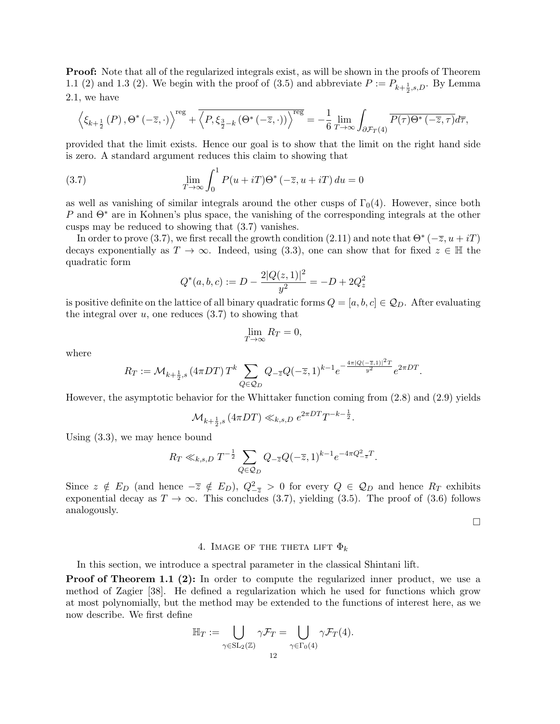**Proof:** Note that all of the regularized integrals exist, as will be shown in the proofs of Theorem 1.1 (2) and 1.3 (2). We begin with the proof of (3.5) and abbreviate  $P := P_{k+\frac{1}{2},s,D}$ . By Lemma 2.1, we have

$$
\left\langle \xi_{k+\frac{1}{2}}\left(P\right),\Theta^*\left(-\overline{z},\cdot\right)\right\rangle^{\text{reg}}+\overline{\left\langle P,\xi_{\frac{3}{2}-k}\left(\Theta^*\left(-\overline{z},\cdot\right)\right)\right\rangle^{\text{reg}}}=-\frac{1}{6}\lim_{T\to\infty}\int_{\partial\mathcal{F}_T\left(4\right)}\overline{P(\tau)\Theta^*\left(-\overline{z},\tau\right)}d\overline{\tau},
$$

provided that the limit exists. Hence our goal is to show that the limit on the right hand side is zero. A standard argument reduces this claim to showing that

(3.7) 
$$
\lim_{T \to \infty} \int_0^1 P(u + iT) \Theta^* \left(-\overline{z}, u + iT\right) du = 0
$$

as well as vanishing of similar integrals around the other cusps of  $\Gamma_0(4)$ . However, since both P and  $\Theta^*$  are in Kohnen's plus space, the vanishing of the corresponding integrals at the other cusps may be reduced to showing that (3.7) vanishes.

In order to prove (3.7), we first recall the growth condition (2.11) and note that  $\Theta^*$  ( $-\overline{z}$ ,  $u+iT$ ) decays exponentially as  $T \to \infty$ . Indeed, using (3.3), one can show that for fixed  $z \in \mathbb{H}$  the quadratic form

$$
Q^*(a,b,c):=D-\frac{2|Q(z,1)|^2}{y^2}=-D+2Q_z^2
$$

is positive definite on the lattice of all binary quadratic forms  $Q = [a, b, c] \in \mathcal{Q}_D$ . After evaluating the integral over  $u$ , one reduces  $(3.7)$  to showing that

$$
\lim_{T \to \infty} R_T = 0,
$$

where

$$
R_T := \mathcal{M}_{k + \frac{1}{2},s} \left( 4\pi DT \right) T^k \sum_{Q \in \mathcal{Q}_D} Q_{-\overline{z}} Q(-\overline{z},1)^{k-1} e^{-\frac{4\pi |Q(-\overline{z},1)|^2 T}{y^2}} e^{2\pi DT}.
$$

However, the asymptotic behavior for the Whittaker function coming from (2.8) and (2.9) yields

$$
\mathcal{M}_{k+\frac{1}{2},s} \left(4\pi DT\right) \ll_{k,s,D} e^{2\pi DT} T^{-k-\frac{1}{2}}.
$$

Using (3.3), we may hence bound

$$
R_T \ll_{k,s,D} T^{-\frac{1}{2}} \sum_{Q \in \mathcal{Q}_D} Q_{-\overline{z}} Q(-\overline{z}, 1)^{k-1} e^{-4\pi Q_{-\overline{z}}^2 T}.
$$

Since  $z \notin E_D$  (and hence  $-\overline{z} \notin E_D$ ),  $Q_{-\overline{z}}^2 > 0$  for every  $Q \in \mathcal{Q}_D$  and hence  $R_T$  exhibits exponential decay as  $T \to \infty$ . This concludes (3.7), yielding (3.5). The proof of (3.6) follows analogously.

 $\Box$ 

#### 4. IMAGE OF THE THETA LIFT  $\Phi_k$

In this section, we introduce a spectral parameter in the classical Shintani lift.

**Proof of Theorem 1.1 (2):** In order to compute the regularized inner product, we use a method of Zagier [38]. He defined a regularization which he used for functions which grow at most polynomially, but the method may be extended to the functions of interest here, as we now describe. We first define

$$
\mathbb{H}_T := \bigcup_{\gamma \in \mathrm{SL}_2(\mathbb{Z})} \gamma \mathcal{F}_T = \bigcup_{\gamma \in \Gamma_0(4)} \gamma \mathcal{F}_T(4).
$$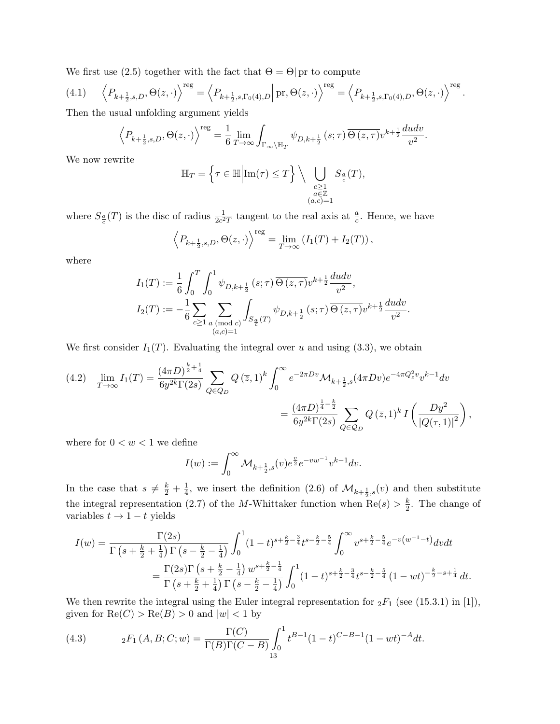We first use (2.5) together with the fact that  $\Theta = \Theta$  pr to compute

(4.1) 
$$
\left\langle P_{k+\frac{1}{2},s,D}, \Theta(z,\cdot) \right\rangle^{\text{reg}} = \left\langle P_{k+\frac{1}{2},s,\Gamma_0(4),D} \right| \text{pr}, \Theta(z,\cdot) \left\rangle^{\text{reg}} = \left\langle P_{k+\frac{1}{2},s,\Gamma_0(4),D}, \Theta(z,\cdot) \right\rangle^{\text{reg}}.
$$
  
Then the usual unfolding argument yields

Then the usual unfolding argument yields

$$
\left\langle P_{k+\frac{1}{2},s,D},\Theta(z,\cdot)\right\rangle^{\text{reg}} = \frac{1}{6} \lim_{T \to \infty} \int_{\Gamma_{\infty} \backslash \mathbb{H}_T} \psi_{D,k+\frac{1}{2}}\left(s;\tau\right) \overline{\Theta\left(z,\tau\right)} v^{k+\frac{1}{2}} \frac{dudv}{v^2}.
$$

We now rewrite

$$
\mathbb{H}_T = \left\{ \tau \in \mathbb{H} \middle| \text{Im}(\tau) \le T \right\} \setminus \bigcup_{\substack{c \ge 1 \\ a \in \mathbb{Z} \\ (a,c) = 1}} S_{\frac{a}{c}}(T),
$$

where  $S_{\frac{a}{c}}(T)$  is the disc of radius  $\frac{1}{2c^2T}$  tangent to the real axis at  $\frac{a}{c}$ . Hence, we have

$$
\left\langle P_{k+\frac{1}{2},s,D}, \Theta(z,\cdot) \right\rangle^{\text{reg}} = \lim_{T \to \infty} \left( I_1(T) + I_2(T) \right),
$$

where

$$
I_1(T) := \frac{1}{6} \int_0^T \int_0^1 \psi_{D,k+\frac{1}{2}}(s;\tau) \overline{\Theta(z,\tau)} v^{k+\frac{1}{2}} \frac{du dv}{v^2},
$$
  
\n
$$
I_2(T) := -\frac{1}{6} \sum_{c \geq 1} \sum_{\substack{a \pmod{c} \\ (a,c)=1}} \int_{S_{\frac{a}{c}}(T)} \psi_{D,k+\frac{1}{2}}(s;\tau) \overline{\Theta(z,\tau)} v^{k+\frac{1}{2}} \frac{du dv}{v^2}.
$$

We first consider  $I_1(T)$ . Evaluating the integral over u and using (3.3), we obtain

$$
(4.2) \quad \lim_{T \to \infty} I_1(T) = \frac{(4\pi D)^{\frac{k}{2} + \frac{1}{4}}}{6y^{2k}\Gamma(2s)} \sum_{Q \in Q_D} Q(\overline{z}, 1)^k \int_0^\infty e^{-2\pi Dv} \mathcal{M}_{k + \frac{1}{2}, s}(4\pi Dv) e^{-4\pi Q_z^2 v} v^{k - 1} dv
$$

$$
= \frac{(4\pi D)^{\frac{1}{4} - \frac{k}{2}}}{6y^{2k}\Gamma(2s)} \sum_{Q \in Q_D} Q(\overline{z}, 1)^k I\left(\frac{Dy^2}{|Q(\tau, 1)|^2}\right),
$$

where for  $0 < w < 1$  we define

$$
I(w) := \int_0^\infty \mathcal{M}_{k + \frac{1}{2}, s}(v) e^{\frac{v}{2}} e^{-v w^{-1}} v^{k-1} dv.
$$

In the case that  $s \neq \frac{k}{2} + \frac{1}{4}$  $\frac{1}{4}$ , we insert the definition (2.6) of  $\mathcal{M}_{k+\frac{1}{2},s}(v)$  and then substitute the integral representation (2.7) of the M-Whittaker function when  $\text{Re}(s) > \frac{k}{2}$  $\frac{k}{2}$ . The change of variables  $t \rightarrow 1-t$  yields

$$
I(w) = \frac{\Gamma(2s)}{\Gamma\left(s + \frac{k}{2} + \frac{1}{4}\right)\Gamma\left(s - \frac{k}{2} - \frac{1}{4}\right)} \int_0^1 (1-t)^{s + \frac{k}{2} - \frac{3}{4}} t^{s - \frac{k}{2} - \frac{5}{4}} \int_0^\infty v^{s + \frac{k}{2} - \frac{5}{4}} e^{-v\left(w^{-1} - t\right)} dv dt
$$
  
= 
$$
\frac{\Gamma(2s)\Gamma\left(s + \frac{k}{2} - \frac{1}{4}\right)w^{s + \frac{k}{2} - \frac{1}{4}}}{\Gamma\left(s + \frac{k}{2} + \frac{1}{4}\right)\Gamma\left(s - \frac{k}{2} - \frac{1}{4}\right)} \int_0^1 (1-t)^{s + \frac{k}{2} - \frac{3}{4}} t^{s - \frac{k}{2} - \frac{5}{4}} (1-wt)^{-\frac{k}{2} - s + \frac{1}{4}} dt.
$$

We then rewrite the integral using the Euler integral representation for  ${}_2F_1$  (see (15.3.1) in [1]), given for  $\text{Re}(C) > \text{Re}(B) > 0$  and  $|w| < 1$  by

(4.3) 
$$
{}_2F_1(A, B; C; w) = \frac{\Gamma(C)}{\Gamma(B)\Gamma(C - B)} \int_0^1 t^{B-1} (1-t)^{C-B-1} (1-wt)^{-A} dt.
$$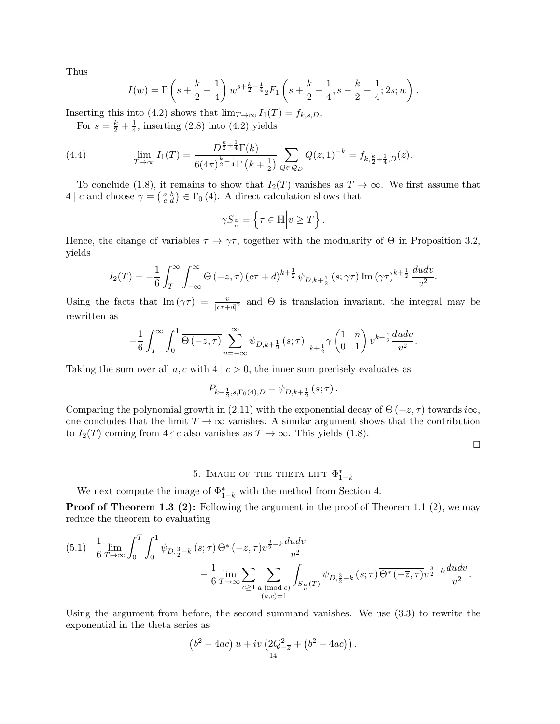Thus

$$
I(w) = \Gamma\left(s + \frac{k}{2} - \frac{1}{4}\right)w^{s + \frac{k}{2} - \frac{1}{4}} {}_2F_1\left(s + \frac{k}{2} - \frac{1}{4}, s - \frac{k}{2} - \frac{1}{4}; 2s; w\right).
$$

Inserting this into (4.2) shows that  $\lim_{T\to\infty} I_1(T) = f_{k,s,D}$ .

For  $s = \frac{k}{2} + \frac{1}{4}$  $\frac{1}{4}$ , inserting (2.8) into (4.2) yields

(4.4) 
$$
\lim_{T \to \infty} I_1(T) = \frac{D^{\frac{k}{2} + \frac{1}{4}} \Gamma(k)}{6(4\pi)^{\frac{k}{2} - \frac{1}{4}} \Gamma(k + \frac{1}{2})} \sum_{Q \in \mathcal{Q}_D} Q(z, 1)^{-k} = f_{k, \frac{k}{2} + \frac{1}{4}, D}(z).
$$

To conclude (1.8), it remains to show that  $I_2(T)$  vanishes as  $T \to \infty$ . We first assume that 4 | c and choose  $\gamma = \begin{pmatrix} a & b \\ c & d \end{pmatrix} \in \Gamma_0(4)$ . A direct calculation shows that

$$
\gamma S_{\frac{a}{c}} = \left\{ \tau \in \mathbb{H} \middle| v \ge T \right\}.
$$

Hence, the change of variables  $\tau \to \gamma \tau$ , together with the modularity of  $\Theta$  in Proposition 3.2, yields

$$
I_2(T) = -\frac{1}{6} \int_T^{\infty} \int_{-\infty}^{\infty} \overline{\Theta\left(-\overline{z},\tau\right)} \left(c\overline{\tau} + d\right)^{k+\frac{1}{2}} \psi_{D,k+\frac{1}{2}}\left(s;\gamma\tau\right) \text{Im}\left(\gamma\tau\right)^{k+\frac{1}{2}} \frac{du dv}{v^2}.
$$

Using the facts that  $\text{Im}(\gamma \tau) = \frac{v}{|c\tau+d|^2}$  and  $\Theta$  is translation invariant, the integral may be rewritten as

$$
-\frac{1}{6}\int_{T}^{\infty}\int_{0}^{1}\overline{\Theta\left(-\overline{z},\tau\right)}\sum_{n=-\infty}^{\infty}\psi_{D,k+\frac{1}{2}}\left(s;\tau\right)\Big|_{k+\frac{1}{2}}\gamma\begin{pmatrix}1&n\\0&1\end{pmatrix}v^{k+\frac{1}{2}}\frac{dudv}{v^{2}}.
$$

Taking the sum over all  $a, c$  with  $4 | c > 0$ , the inner sum precisely evaluates as

$$
P_{k+\frac{1}{2},s,\Gamma_0(4),D} - \psi_{D,k+\frac{1}{2}}(s;\tau).
$$

Comparing the polynomial growth in (2.11) with the exponential decay of  $\Theta$  ( $-\overline{z}$ ,  $\tau$ ) towards  $i\infty$ , one concludes that the limit  $T \to \infty$  vanishes. A similar argument shows that the contribution to  $I_2(T)$  coming from  $4 \nmid c$  also vanishes as  $T \to \infty$ . This yields (1.8).

 $\Box$ 

# 5. IMAGE OF THE THETA LIFT  $\Phi_{1-k}^*$

We next compute the image of  $\Phi_{1-k}^*$  with the method from Section 4.

Proof of Theorem 1.3 (2): Following the argument in the proof of Theorem 1.1 (2), we may reduce the theorem to evaluating

$$
(5.1) \quad \frac{1}{6} \lim_{T \to \infty} \int_0^T \int_0^1 \psi_{D, \frac{3}{2} - k} (s; \tau) \overline{\Theta^* (-\overline{z}, \tau)} v^{\frac{3}{2} - k} \frac{du dv}{v^2} - \frac{1}{6} \lim_{T \to \infty} \sum_{c \ge 1} \sum_{\substack{a \pmod{c} \\ (a, c) = 1}} \int_{S_{\frac{a}{c}}(T)} \psi_{D, \frac{3}{2} - k} (s; \tau) \overline{\Theta^* (-\overline{z}, \tau)} v^{\frac{3}{2} - k} \frac{du dv}{v^2}.
$$

Using the argument from before, the second summand vanishes. We use (3.3) to rewrite the exponential in the theta series as

$$
(b2 - 4ac) u + iv (2Q2-z + (b2 - 4ac)).
$$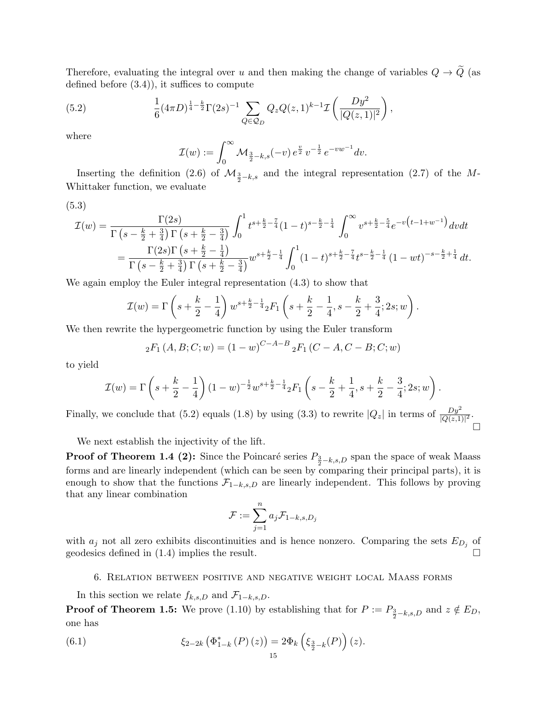Therefore, evaluating the integral over u and then making the change of variables  $Q \rightarrow \tilde{Q}$  (as defined before (3.4)), it suffices to compute

(5.2) 
$$
\frac{1}{6} (4\pi D)^{\frac{1}{4} - \frac{k}{2}} \Gamma(2s)^{-1} \sum_{Q \in \mathcal{Q}_D} Q_z Q(z, 1)^{k-1} \mathcal{I}\left(\frac{Dy^2}{|Q(z, 1)|^2}\right),
$$

where

$$
\mathcal{I}(w) := \int_0^\infty \mathcal{M}_{\frac{3}{2} - k, s}(-v) e^{\frac{v}{2}} v^{-\frac{1}{2}} e^{-v w^{-1}} dv.
$$

Inserting the definition (2.6) of  $\mathcal{M}_{\frac{3}{2}-k,s}$  and the integral representation (2.7) of the M-Whittaker function, we evaluate

$$
(5.3)
$$

$$
\mathcal{I}(w) = \frac{\Gamma(2s)}{\Gamma\left(s - \frac{k}{2} + \frac{3}{4}\right)\Gamma\left(s + \frac{k}{2} - \frac{3}{4}\right)} \int_0^1 t^{s + \frac{k}{2} - \frac{7}{4}} (1 - t)^{s - \frac{k}{2} - \frac{1}{4}} \int_0^\infty v^{s + \frac{k}{2} - \frac{5}{4}} e^{-v\left(t - 1 + w^{-1}\right)} dv dt
$$
  
= 
$$
\frac{\Gamma(2s)\Gamma\left(s + \frac{k}{2} - \frac{1}{4}\right)}{\Gamma\left(s - \frac{k}{2} + \frac{3}{4}\right)\Gamma\left(s + \frac{k}{2} - \frac{3}{4}\right)} w^{s + \frac{k}{2} - \frac{1}{4}} \int_0^1 (1 - t)^{s + \frac{k}{2} - \frac{7}{4}} t^{s - \frac{k}{2} - \frac{1}{4}} (1 - wt)^{-s - \frac{k}{2} + \frac{1}{4}} dt.
$$

We again employ the Euler integral representation (4.3) to show that

$$
\mathcal{I}(w) = \Gamma\left(s + \frac{k}{2} - \frac{1}{4}\right)w^{s + \frac{k}{2} - \frac{1}{4}} {}_2F_1\left(s + \frac{k}{2} - \frac{1}{4}, s - \frac{k}{2} + \frac{3}{4}; 2s; w\right).
$$

We then rewrite the hypergeometric function by using the Euler transform

$$
{}_2F_1(A, B; C; w) = (1 - w)^{C - A - B} {}_2F_1(C - A, C - B; C; w)
$$

to yield

$$
\mathcal{I}(w) = \Gamma\left(s + \frac{k}{2} - \frac{1}{4}\right)(1 - w)^{-\frac{1}{2}}w^{s + \frac{k}{2} - \frac{1}{4}}{}_2F_1\left(s - \frac{k}{2} + \frac{1}{4}, s + \frac{k}{2} - \frac{3}{4}; 2s; w\right).
$$

Finally, we conclude that (5.2) equals (1.8) by using (3.3) to rewrite  $|Q_z|$  in terms of  $\frac{Dy^2}{|Q(z,1)|^2}$ .  $\Box$ 

We next establish the injectivity of the lift.

**Proof of Theorem 1.4 (2):** Since the Poincaré series  $P_{\frac{3}{2} - k,s,D}$  span the space of weak Maass forms and are linearly independent (which can be seen by comparing their principal parts), it is enough to show that the functions  $\mathcal{F}_{1-k,s,D}$  are linearly independent. This follows by proving that any linear combination

$$
\mathcal{F}:=\sum_{j=1}^n a_j \mathcal{F}_{1-k,s,D_j}
$$

with  $a_j$  not all zero exhibits discontinuities and is hence nonzero. Comparing the sets  $E_{D_j}$  of geodesics defined in (1.4) implies the result.

### 6. Relation between positive and negative weight local Maass forms

In this section we relate  $f_{k,s,D}$  and  $\mathcal{F}_{1-k,s,D}$ .

**Proof of Theorem 1.5:** We prove (1.10) by establishing that for  $P := P_{\frac{3}{2} - k, s, D}$  and  $z \notin E_D$ , one has

(6.1) 
$$
\xi_{2-2k} (\Phi_{1-k}^*(P)(z)) = 2\Phi_k \left( \xi_{\frac{3}{2}-k}(P) \right)(z).
$$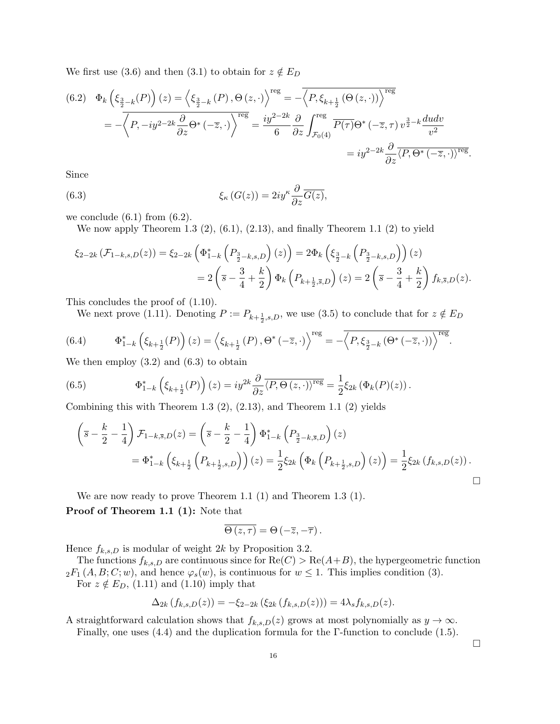We first use (3.6) and then (3.1) to obtain for  $z \notin E_D$ 

$$
(6.2) \quad \Phi_k\left(\xi_{\frac{3}{2}-k}(P)\right)(z) = \left\langle \xi_{\frac{3}{2}-k}(P), \Theta\left(z, \cdot\right) \right\rangle^{\text{reg}} = -\overline{\left\langle P, \xi_{k+\frac{1}{2}}\left(\Theta\left(z, \cdot\right)\right) \right\rangle^{\text{reg}}}
$$
\n
$$
= -\overline{\left\langle P, -iy^{2-2k}\frac{\partial}{\partial z}\Theta^*\left(-\overline{z}, \cdot\right) \right\rangle^{\text{reg}}} = \frac{iy^{2-2k}}{6}\frac{\partial}{\partial z}\int_{\mathcal{F}_0(4)}^{\text{reg}} \overline{P(\tau)}\Theta^*\left(-\overline{z}, \tau\right)v^{\frac{3}{2}-k}\frac{dudv}{v^2}
$$
\n
$$
= iy^{2-2k}\frac{\partial}{\partial z}\overline{\left\langle P, \Theta^*\left(-\overline{z}, \cdot\right)\right\rangle^{\text{reg}}}.
$$

Since

(6.3) 
$$
\xi_{\kappa}(G(z)) = 2iy^{\kappa} \frac{\partial}{\partial z} \overline{G(z)},
$$

we conclude  $(6.1)$  from  $(6.2)$ .

We now apply Theorem 1.3  $(2)$ ,  $(6.1)$ ,  $(2.13)$ , and finally Theorem 1.1  $(2)$  to yield

$$
\xi_{2-2k}(\mathcal{F}_{1-k,s,D}(z)) = \xi_{2-2k} \left( \Phi_{1-k}^* \left( P_{\frac{3}{2}-k,s,D} \right)(z) \right) = 2 \Phi_k \left( \xi_{\frac{3}{2}-k} \left( P_{\frac{3}{2}-k,s,D} \right) \right)(z)
$$
  
=  $2 \left( \overline{s} - \frac{3}{4} + \frac{k}{2} \right) \Phi_k \left( P_{k+\frac{1}{2},\overline{s},D} \right)(z) = 2 \left( \overline{s} - \frac{3}{4} + \frac{k}{2} \right) f_{k,\overline{s},D}(z).$ 

This concludes the proof of (1.10).

We next prove (1.11). Denoting  $P := P_{k+\frac{1}{2},s,D}$ , we use (3.5) to conclude that for  $z \notin E_D$ 

(6.4) 
$$
\Phi_{1-k}^*\left(\xi_{k+\frac{1}{2}}(P)\right)(z) = \left\langle \xi_{k+\frac{1}{2}}(P), \Theta^*(-\overline{z}, \cdot) \right\rangle^{\text{reg}} = -\overline{\left\langle P, \xi_{\frac{3}{2}-k}(\Theta^*(-\overline{z}, \cdot)) \right\rangle^{\text{reg}}}.
$$

We then employ  $(3.2)$  and  $(6.3)$  to obtain

(6.5) 
$$
\Phi_{1-k}^*\left(\xi_{k+\frac{1}{2}}(P)\right)(z) = iy^{2k}\frac{\partial}{\partial z}\overline{\langle P,\Theta(z,\cdot)\rangle^{\text{reg}}} = \frac{1}{2}\xi_{2k}\left(\Phi_k(P)(z)\right).
$$

Combining this with Theorem 1.3  $(2)$ ,  $(2.13)$ , and Theorem 1.1  $(2)$  yields

$$
\begin{split} \left(\bar{s} - \frac{k}{2} - \frac{1}{4}\right) \mathcal{F}_{1-k,\bar{s},D}(z) &= \left(\bar{s} - \frac{k}{2} - \frac{1}{4}\right) \Phi_{1-k}^* \left(P_{\frac{3}{2}-k,\bar{s},D}\right)(z) \\ &= \Phi_{1-k}^* \left(\xi_{k+\frac{1}{2}} \left(P_{k+\frac{1}{2},s,D}\right)\right)(z) = \frac{1}{2} \xi_{2k} \left(\Phi_k \left(P_{k+\frac{1}{2},s,D}\right)(z)\right) = \frac{1}{2} \xi_{2k} \left(f_{k,s,D}(z)\right). \end{split}
$$

We are now ready to prove Theorem 1.1 (1) and Theorem 1.3 (1).

Proof of Theorem 1.1 (1): Note that

$$
\overline{\Theta(z,\tau)}=\Theta\left(-\overline{z},-\overline{\tau}\right).
$$

Hence  $f_{k,s,D}$  is modular of weight 2k by Proposition 3.2.

The functions  $f_{k,s,D}$  are continuous since for  $\text{Re}(C) > \text{Re}(A+B)$ , the hypergeometric function  ${}_2F_1(A, B; C; w)$ , and hence  $\varphi_s(w)$ , is continuous for  $w \leq 1$ . This implies condition (3). For  $z \notin E_D$ , (1.11) and (1.10) imply that

$$
\Delta_{2k}(f_{k,s,D}(z)) = -\xi_{2-2k}(\xi_{2k}(f_{k,s,D}(z))) = 4\lambda_s f_{k,s,D}(z).
$$

A straightforward calculation shows that  $f_{k,s,D}(z)$  grows at most polynomially as  $y \to \infty$ . Finally, one uses (4.4) and the duplication formula for the Γ-function to conclude (1.5).

 $\Box$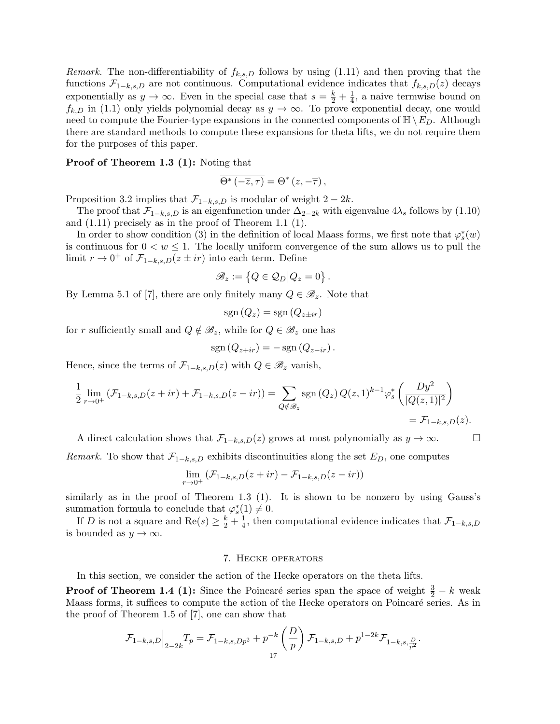Remark. The non-differentiability of  $f_{k,s,D}$  follows by using (1.11) and then proving that the functions  $\mathcal{F}_{1-k,s,D}$  are not continuous. Computational evidence indicates that  $f_{k,s,D}(z)$  decays exponentially as  $y \to \infty$ . Even in the special case that  $s = \frac{k}{2} + \frac{1}{4}$  $\frac{1}{4}$ , a naive termwise bound on  $f_{k,D}$  in (1.1) only yields polynomial decay as  $y \to \infty$ . To prove exponential decay, one would need to compute the Fourier-type expansions in the connected components of  $\mathbb{H}\setminus E_D$ . Although there are standard methods to compute these expansions for theta lifts, we do not require them for the purposes of this paper.

#### Proof of Theorem 1.3 (1): Noting that

$$
\overline{\Theta^*\left(-\overline{z},\tau\right)}=\Theta^*\left(z,-\overline{\tau}\right),
$$

Proposition 3.2 implies that  $\mathcal{F}_{1-k,s,D}$  is modular of weight  $2-2k$ .

The proof that  $\mathcal{F}_{1-k,s,D}$  is an eigenfunction under  $\Delta_{2-2k}$  with eigenvalue  $4\lambda_s$  follows by (1.10) and (1.11) precisely as in the proof of Theorem 1.1 (1).

In order to show condition (3) in the definition of local Maass forms, we first note that  $\varphi_s^*(w)$ is continuous for  $0 < w \leq 1$ . The locally uniform convergence of the sum allows us to pull the limit  $r \to 0^+$  of  $\mathcal{F}_{1-k,s,D}(z \pm ir)$  into each term. Define

$$
\mathscr{B}_z := \left\{ Q \in \mathcal{Q}_D \middle| Q_z = 0 \right\}.
$$

By Lemma 5.1 of [7], there are only finitely many  $Q \in \mathscr{B}_{z}$ . Note that

$$
\mathrm{sgn}\left(Q_z\right) = \mathrm{sgn}\left(Q_{z \pm ir}\right)
$$

for r sufficiently small and  $Q \notin \mathscr{B}_z$ , while for  $Q \in \mathscr{B}_z$  one has

$$
sgn(Q_{z+ir}) = -sgn(Q_{z-ir}).
$$

Hence, since the terms of  $\mathcal{F}_{1-k,s,D}(z)$  with  $Q \in \mathscr{B}_z$  vanish,

$$
\frac{1}{2} \lim_{r \to 0^+} \left( \mathcal{F}_{1-k,s,D}(z+ir) + \mathcal{F}_{1-k,s,D}(z-ir) \right) = \sum_{Q \notin \mathcal{B}_z} \text{sgn}(Q_z) Q(z,1)^{k-1} \varphi_s^* \left( \frac{Dy^2}{|Q(z,1)|^2} \right)
$$
  
=  $\mathcal{F}_{1-k,s,D}(z).$ 

A direct calculation shows that  $\mathcal{F}_{1-k,s,D}(z)$  grows at most polynomially as  $y \to \infty$ .

*Remark.* To show that  $\mathcal{F}_{1-k,s,D}$  exhibits discontinuities along the set  $E_D$ , one computes

$$
\lim_{r\to 0^+}\left(\mathcal{F}_{1-k,s,D}(z+ir)-\mathcal{F}_{1-k,s,D}(z-ir)\right)
$$

similarly as in the proof of Theorem 1.3 (1). It is shown to be nonzero by using Gauss's summation formula to conclude that  $\varphi_s^*(1) \neq 0$ .

If D is not a square and  $Re(s) \geq \frac{k}{2} + \frac{1}{4}$  $\frac{1}{4}$ , then computational evidence indicates that  $\mathcal{F}_{1-k,s,D}$ is bounded as  $y \to \infty$ .

# 7. Hecke operators

In this section, we consider the action of the Hecke operators on the theta lifts.

**Proof of Theorem 1.4 (1):** Since the Poincaré series span the space of weight  $\frac{3}{2} - k$  weak Maass forms, it suffices to compute the action of the Hecke operators on Poincaré series. As in the proof of Theorem 1.5 of [7], one can show that

$$
\mathcal{F}_{1-k,s,D}\Big|_{2-2k}T_p = \mathcal{F}_{1-k,s,Dp^2} + p^{-k}\left(\frac{D}{p}\right)\mathcal{F}_{1-k,s,D} + p^{1-2k}\mathcal{F}_{1-k,s,\frac{D}{p^2}}.
$$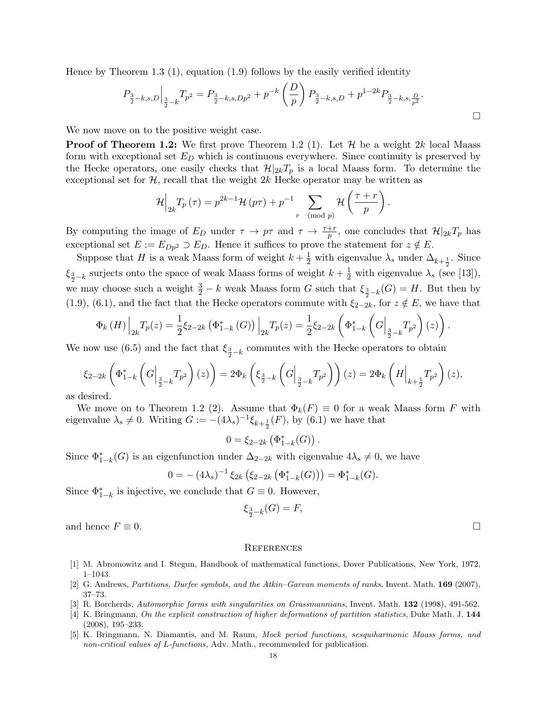Hence by Theorem 1.3 (1), equation (1.9) follows by the easily verified identity

$$
P_{\frac{3}{2}-k,s,D}\Big|_{\frac{3}{2}-k}T_{p^2}=P_{\frac{3}{2}-k,s,Dp^2}+p^{-k}\left(\frac{D}{p}\right)P_{\frac{3}{2}-k,s,D}+p^{1-2k}P_{\frac{3}{2}-k,s,\frac{D}{p^2}}.
$$

We now move on to the positive weight case.

**Proof of Theorem 1.2:** We first prove Theorem 1.2 (1). Let  $\mathcal{H}$  be a weight 2k local Maass form with exceptional set  $E_D$  which is continuous everywhere. Since continuity is preserved by the Hecke operators, one easily checks that  $\mathcal{H}|_{2k}T_p$  is a local Maass form. To determine the exceptional set for  $H$ , recall that the weight  $2k$  Hecke operator may be written as

$$
\mathcal{H}\Big|_{2k}T_p(\tau)=p^{2k-1}\mathcal{H}\left(p\tau\right)+p^{-1}\sum_{r\pmod{p}}\mathcal{H}\left(\frac{\tau+r}{p}\right).
$$

By computing the image of  $E_D$  under  $\tau \to p\tau$  and  $\tau \to \frac{\tau+r}{p}$ , one concludes that  $\mathcal{H}|_{2k}T_p$  has exceptional set  $E := E_{Dp^2} \supset E_D$ . Hence it suffices to prove the statement for  $z \notin E$ .

Suppose that H is a weak Maass form of weight  $k + \frac{1}{2}$  with eigenvalue  $\lambda_s$  under  $\Delta_{k+\frac{1}{2}}$ . Since  $\xi_{\frac{3}{2}-k}$  surjects onto the space of weak Maass forms of weight  $k+\frac{1}{2}$  with eigenvalue  $\lambda_s$  (see [13]), we may choose such a weight  $\frac{3}{2} - k$  weak Maass form G such that  $\xi_{\frac{3}{2} - k}(G) = H$ . But then by (1.9), (6.1), and the fact that the Hecke operators commute with  $\xi_{2-2k}$ , for  $z \notin E$ , we have that

$$
\Phi_{k}(H)\Big|_{2k}T_{p}(z) = \frac{1}{2}\xi_{2-2k}\left(\Phi_{1-k}^{*}\left(G\right)\right)\Big|_{2k}T_{p}(z) = \frac{1}{2}\xi_{2-2k}\left(\Phi_{1-k}^{*}\left(G\Big|_{\frac{3}{2}-k}T_{p^{2}}\right)(z)\right).
$$

We now use (6.5) and the fact that  $\xi_{\frac{3}{2}-k}$  commutes with the Hecke operators to obtain

$$
\xi_{2-2k}\left(\Phi_{1-k}^*\left(G\Big|_{\frac{3}{2}-k}T_{p^2}\right)(z)\right)=2\Phi_k\left(\xi_{\frac{3}{2}-k}\left(G\Big|_{\frac{3}{2}-k}T_{p^2}\right)\right)(z)=2\Phi_k\left(H\Big|_{k+\frac{1}{2}}T_{p^2}\right)(z),
$$
   
lesired

as desired.

We move on to Theorem 1.2 (2). Assume that  $\Phi_k(F) \equiv 0$  for a weak Maass form F with eigenvalue  $\lambda_s \neq 0$ . Writing  $G := -(4\lambda_s)^{-1} \xi_{k+\frac{1}{2}}(F)$ , by  $(6.1)$  we have that

$$
0 = \xi_{2-2k} (\Phi_{1-k}^*(G)) .
$$

Since  $\Phi_{1-k}^*(G)$  is an eigenfunction under  $\Delta_{2-2k}$  with eigenvalue  $4\lambda_s \neq 0$ , we have

$$
0 = - (4\lambda_s)^{-1} \xi_{2k} \left( \xi_{2-2k} \left( \Phi_{1-k}^*(G) \right) \right) = \Phi_{1-k}^*(G).
$$

Since  $\Phi_{1-k}^*$  is injective, we conclude that  $G \equiv 0$ . However,

$$
\xi_{\frac{3}{2}-k}(G) = F,
$$

and hence  $F \equiv 0$ .

#### **REFERENCES**

- [1] M. Abromowitz and I. Stegun, Handbook of mathematical functions, Dover Publications, New York, 1972, 1–1043.
- [2] G. Andrews, Partitions, Durfee symbols, and the Atkin–Garvan moments of ranks, Invent. Math. **169** (2007), 37–73.
- [3] R. Borcherds, Automorphic forms with singularities on Grassmannians, Invent. Math. 132 (1998), 491-562.
- [4] K. Bringmann, On the explicit construction of higher deformations of partition statistics, Duke Math. J. 144 (2008), 195–233.
- [5] K. Bringmann, N. Diamantis, and M. Raum, Mock period functions, sesquiharmonic Maass forms, and non-critical values of L-functions, Adv. Math., recommended for publication.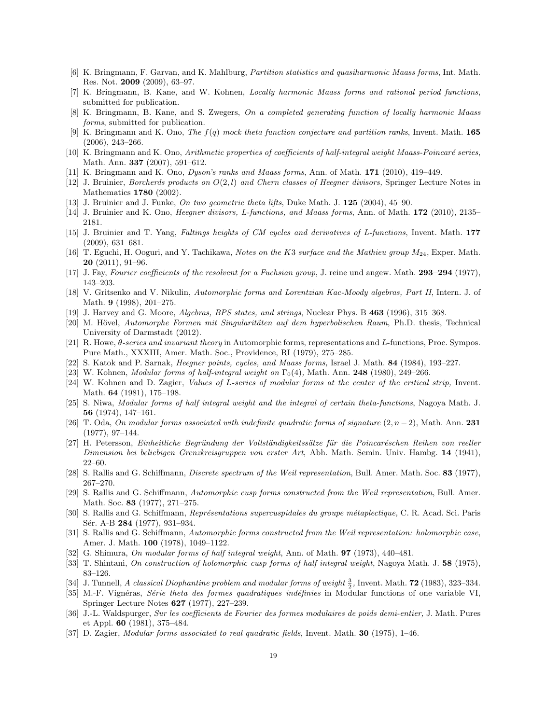- [6] K. Bringmann, F. Garvan, and K. Mahlburg, Partition statistics and quasiharmonic Maass forms, Int. Math. Res. Not. 2009 (2009), 63–97.
- [7] K. Bringmann, B. Kane, and W. Kohnen, Locally harmonic Maass forms and rational period functions, submitted for publication.
- [8] K. Bringmann, B. Kane, and S. Zwegers, On a completed generating function of locally harmonic Maass forms, submitted for publication.
- [9] K. Bringmann and K. Ono, The  $f(q)$  mock theta function conjecture and partition ranks, Invent. Math. 165 (2006), 243–266.
- [10] K. Bringmann and K. Ono, Arithmetic properties of coefficients of half-integral weight Maass-Poincaré series, Math. Ann. 337 (2007), 591–612.
- [11] K. Bringmann and K. Ono, Dyson's ranks and Maass forms, Ann. of Math. 171 (2010), 419–449.
- [12] J. Bruinier, *Borcherds products on*  $O(2, l)$  and *Chern classes of Heegner divisors*, Springer Lecture Notes in Mathematics 1780 (2002).
- [13] J. Bruinier and J. Funke, On two geometric theta lifts, Duke Math. J. 125 (2004), 45–90.
- [14] J. Bruinier and K. Ono, Heegner divisors, L-functions, and Maass forms, Ann. of Math. 172 (2010), 2135– 2181.
- [15] J. Bruinier and T. Yang, Faltings heights of CM cycles and derivatives of L-functions, Invent. Math. 177 (2009), 631–681.
- [16] T. Eguchi, H. Ooguri, and Y. Tachikawa, Notes on the K3 surface and the Mathieu group  $M_{24}$ , Exper. Math. 20 (2011), 91–96.
- [17] J. Fay, Fourier coefficients of the resolvent for a Fuchsian group, J. reine und angew. Math. 293–294 (1977), 143–203.
- [18] V. Gritsenko and V. Nikulin, Automorphic forms and Lorentzian Kac-Moody algebras, Part II, Intern. J. of Math. 9 (1998), 201–275.
- [19] J. Harvey and G. Moore, Algebras, BPS states, and strings, Nuclear Phys. B 463 (1996), 315–368.
- [20] M. Hövel, Automorphe Formen mit Singularitäten auf dem hyperbolischen Raum, Ph.D. thesis, Technical University of Darmstadt (2012).
- [21] R. Howe, θ-series and invariant theory in Automorphic forms, representations and L-functions, Proc. Sympos. Pure Math., XXXIII, Amer. Math. Soc., Providence, RI (1979), 275–285.
- [22] S. Katok and P. Sarnak, Heegner points, cycles, and Maass forms, Israel J. Math. 84 (1984), 193–227.
- [23] W. Kohnen, *Modular forms of half-integral weight on*  $\Gamma_0(4)$ , Math. Ann. **248** (1980), 249–266.
- [24] W. Kohnen and D. Zagier, Values of L-series of modular forms at the center of the critical strip, Invent. Math. 64 (1981), 175–198.
- [25] S. Niwa, Modular forms of half integral weight and the integral of certain theta-functions, Nagoya Math. J. 56 (1974), 147–161.
- [26] T. Oda, On modular forms associated with indefinite quadratic forms of signature (2, n−2), Math. Ann. 231 (1977), 97–144.
- [27] H. Petersson, Einheitliche Begründung der Vollständigkeitssätze für die Poincaréschen Reihen von reeller Dimension bei beliebigen Grenzkreisgruppen von erster Art, Abh. Math. Semin. Univ. Hambg. 14 (1941), 22–60.
- [28] S. Rallis and G. Schiffmann, Discrete spectrum of the Weil representation, Bull. Amer. Math. Soc. 83 (1977), 267–270.
- [29] S. Rallis and G. Schiffmann, Automorphic cusp forms constructed from the Weil representation, Bull. Amer. Math. Soc. 83 (1977), 271–275.
- [30] S. Rallis and G. Schiffmann, *Représentations supercuspidales du groupe métaplectique*, C. R. Acad. Sci. Paris Sér. A-B 284 (1977), 931-934.
- [31] S. Rallis and G. Schiffmann, Automorphic forms constructed from the Weil representation: holomorphic case, Amer. J. Math. 100 (1978), 1049–1122.
- [32] G. Shimura, On modular forms of half integral weight, Ann. of Math. 97 (1973), 440-481.
- [33] T. Shintani, On construction of holomorphic cusp forms of half integral weight, Nagoya Math. J. 58 (1975), 83–126.
- [34] J. Tunnell, A classical Diophantine problem and modular forms of weight  $\frac{3}{2}$ , Invent. Math. **72** (1983), 323–334.
- [35] M.-F. Vignéras, Série theta des formes quadratiques indéfinies in Modular functions of one variable VI, Springer Lecture Notes 627 (1977), 227–239.
- [36] J.-L. Waldspurger, Sur les coefficients de Fourier des formes modulaires de poids demi-entier, J. Math. Pures et Appl. 60 (1981), 375–484.
- [37] D. Zagier, *Modular forms associated to real quadratic fields*, Invent. Math. **30** (1975), 1–46.